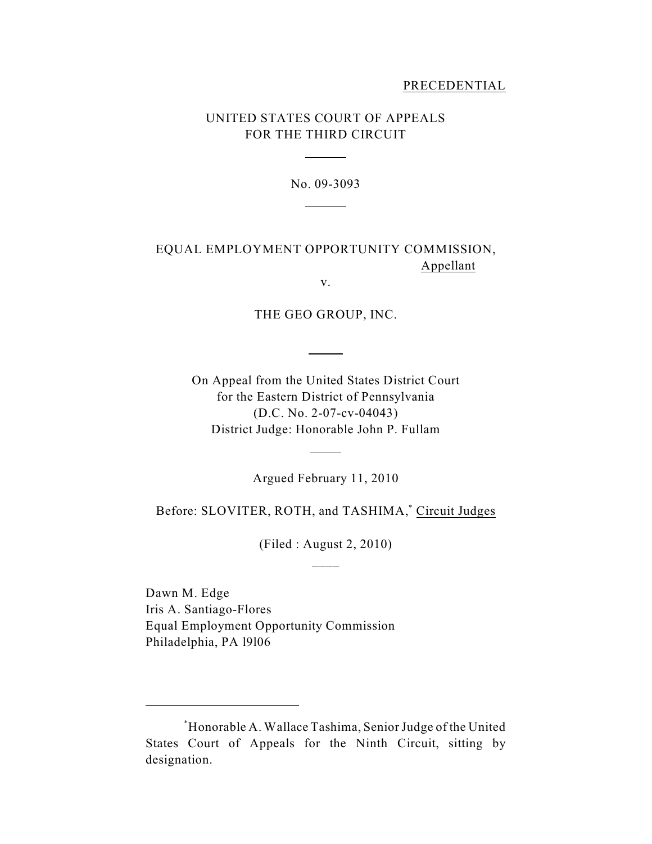## PRECEDENTIAL

# UNITED STATES COURT OF APPEALS FOR THE THIRD CIRCUIT

 $\overline{a}$ 

l

No. 09-3093

# EQUAL EMPLOYMENT OPPORTUNITY COMMISSION, Appellant

v.

THE GEO GROUP, INC.

 $\overline{a}$ 

On Appeal from the United States District Court for the Eastern District of Pennsylvania (D.C. No. 2-07-cv-04043) District Judge: Honorable John P. Fullam

Argued February 11, 2010

l

Before: SLOVITER, ROTH, and TASHIMA,<sup>\*</sup> Circuit Judges

(Filed : August 2, 2010)  $\overline{\phantom{a}}$ 

Dawn M. Edge Iris A. Santiago-Flores Equal Employment Opportunity Commission Philadelphia, PA l9l06

Honorable A. Wallace Tashima, Senior Judge of the United \* States Court of Appeals for the Ninth Circuit, sitting by designation.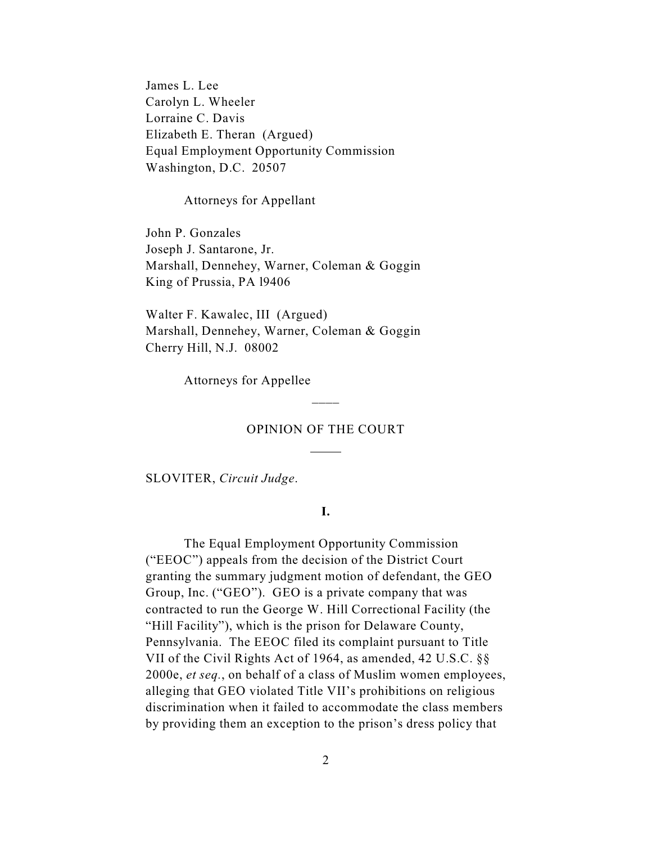James L. Lee Carolyn L. Wheeler Lorraine C. Davis Elizabeth E. Theran (Argued) Equal Employment Opportunity Commission Washington, D.C. 20507

Attorneys for Appellant

John P. Gonzales Joseph J. Santarone, Jr. Marshall, Dennehey, Warner, Coleman & Goggin King of Prussia, PA l9406

Walter F. Kawalec, III (Argued) Marshall, Dennehey, Warner, Coleman & Goggin Cherry Hill, N.J. 08002

Attorneys for Appellee

### OPINION OF THE COURT

l

 $\overline{\phantom{a}}$ 

SLOVITER, *Circuit Judge*.

**I.**

The Equal Employment Opportunity Commission ("EEOC") appeals from the decision of the District Court granting the summary judgment motion of defendant, the GEO Group, Inc. ("GEO"). GEO is a private company that was contracted to run the George W. Hill Correctional Facility (the "Hill Facility"), which is the prison for Delaware County, Pennsylvania. The EEOC filed its complaint pursuant to Title VII of the Civil Rights Act of 1964, as amended, 42 U.S.C. §§ 2000e, *et seq.*, on behalf of a class of Muslim women employees, alleging that GEO violated Title VII's prohibitions on religious discrimination when it failed to accommodate the class members by providing them an exception to the prison's dress policy that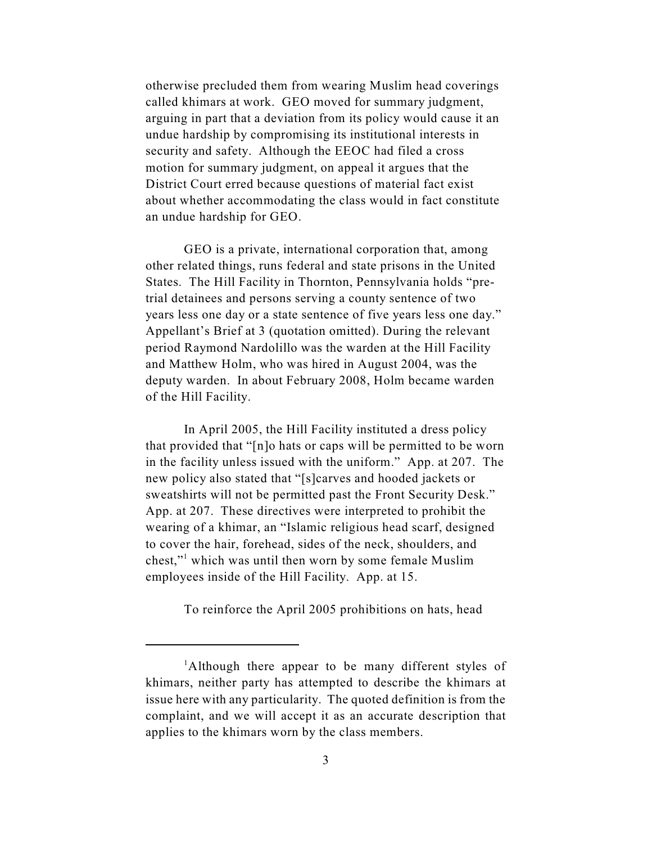otherwise precluded them from wearing Muslim head coverings called khimars at work. GEO moved for summary judgment, arguing in part that a deviation from its policy would cause it an undue hardship by compromising its institutional interests in security and safety. Although the EEOC had filed a cross motion for summary judgment, on appeal it argues that the District Court erred because questions of material fact exist about whether accommodating the class would in fact constitute an undue hardship for GEO.

GEO is a private, international corporation that, among other related things, runs federal and state prisons in the United States. The Hill Facility in Thornton, Pennsylvania holds "pretrial detainees and persons serving a county sentence of two years less one day or a state sentence of five years less one day." Appellant's Brief at 3 (quotation omitted). During the relevant period Raymond Nardolillo was the warden at the Hill Facility and Matthew Holm, who was hired in August 2004, was the deputy warden. In about February 2008, Holm became warden of the Hill Facility.

In April 2005, the Hill Facility instituted a dress policy that provided that "[n]o hats or caps will be permitted to be worn in the facility unless issued with the uniform." App. at 207. The new policy also stated that "[s]carves and hooded jackets or sweatshirts will not be permitted past the Front Security Desk." App. at 207. These directives were interpreted to prohibit the wearing of a khimar, an "Islamic religious head scarf, designed to cover the hair, forehead, sides of the neck, shoulders, and chest," which was until then worn by some female Muslim employees inside of the Hill Facility. App. at 15.

To reinforce the April 2005 prohibitions on hats, head

<sup>&</sup>lt;sup>1</sup>Although there appear to be many different styles of khimars, neither party has attempted to describe the khimars at issue here with any particularity. The quoted definition is from the complaint, and we will accept it as an accurate description that applies to the khimars worn by the class members.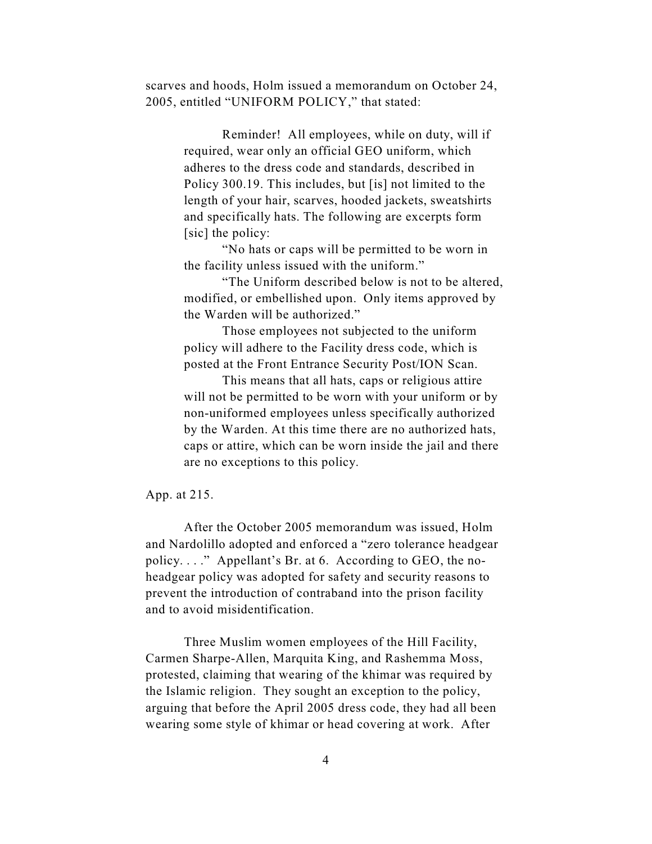scarves and hoods, Holm issued a memorandum on October 24, 2005, entitled "UNIFORM POLICY," that stated:

> Reminder! All employees, while on duty, will if required, wear only an official GEO uniform, which adheres to the dress code and standards, described in Policy 300.19. This includes, but [is] not limited to the length of your hair, scarves, hooded jackets, sweatshirts and specifically hats. The following are excerpts form [sic] the policy:

"No hats or caps will be permitted to be worn in the facility unless issued with the uniform."

"The Uniform described below is not to be altered, modified, or embellished upon. Only items approved by the Warden will be authorized."

Those employees not subjected to the uniform policy will adhere to the Facility dress code, which is posted at the Front Entrance Security Post/ION Scan.

This means that all hats, caps or religious attire will not be permitted to be worn with your uniform or by non-uniformed employees unless specifically authorized by the Warden. At this time there are no authorized hats, caps or attire, which can be worn inside the jail and there are no exceptions to this policy.

App. at 215.

After the October 2005 memorandum was issued, Holm and Nardolillo adopted and enforced a "zero tolerance headgear policy. . . ." Appellant's Br. at 6. According to GEO, the noheadgear policy was adopted for safety and security reasons to prevent the introduction of contraband into the prison facility and to avoid misidentification.

Three Muslim women employees of the Hill Facility, Carmen Sharpe-Allen, Marquita King, and Rashemma Moss, protested, claiming that wearing of the khimar was required by the Islamic religion. They sought an exception to the policy, arguing that before the April 2005 dress code, they had all been wearing some style of khimar or head covering at work. After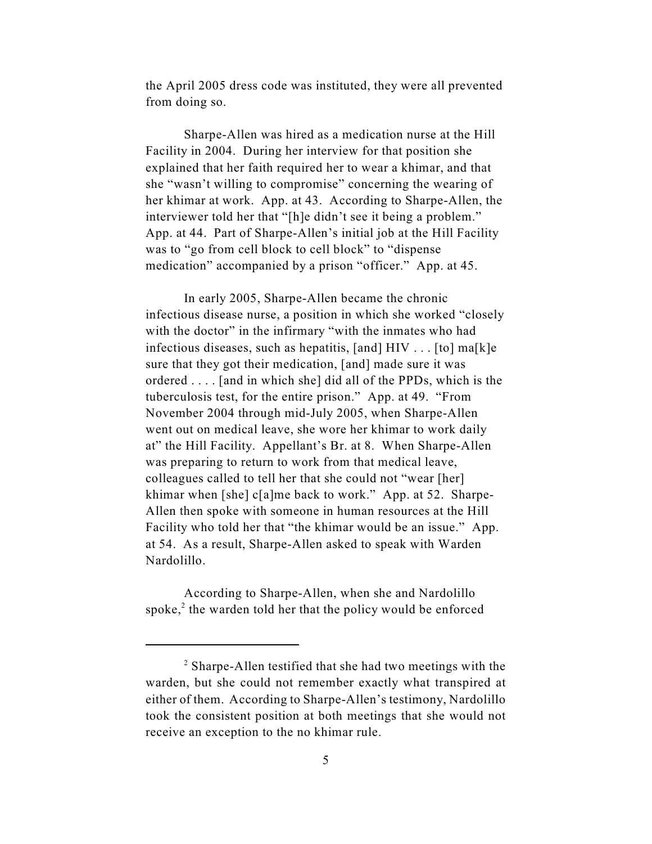the April 2005 dress code was instituted, they were all prevented from doing so.

Sharpe-Allen was hired as a medication nurse at the Hill Facility in 2004. During her interview for that position she explained that her faith required her to wear a khimar, and that she "wasn't willing to compromise" concerning the wearing of her khimar at work. App. at 43. According to Sharpe-Allen, the interviewer told her that "[h]e didn't see it being a problem." App. at 44. Part of Sharpe-Allen's initial job at the Hill Facility was to "go from cell block to cell block" to "dispense medication" accompanied by a prison "officer." App. at 45.

In early 2005, Sharpe-Allen became the chronic infectious disease nurse, a position in which she worked "closely with the doctor" in the infirmary "with the inmates who had infectious diseases, such as hepatitis, [and] HIV . . . [to] ma[k]e sure that they got their medication, [and] made sure it was ordered . . . . [and in which she] did all of the PPDs, which is the tuberculosis test, for the entire prison." App. at 49. "From November 2004 through mid-July 2005, when Sharpe-Allen went out on medical leave, she wore her khimar to work daily at" the Hill Facility. Appellant's Br. at 8. When Sharpe-Allen was preparing to return to work from that medical leave, colleagues called to tell her that she could not "wear [her] khimar when [she] c[a]me back to work." App. at 52. Sharpe-Allen then spoke with someone in human resources at the Hill Facility who told her that "the khimar would be an issue." App. at 54. As a result, Sharpe-Allen asked to speak with Warden Nardolillo.

According to Sharpe-Allen, when she and Nardolillo spoke, $2$  the warden told her that the policy would be enforced

 $\alpha$ <sup>2</sup> Sharpe-Allen testified that she had two meetings with the warden, but she could not remember exactly what transpired at either of them. According to Sharpe-Allen's testimony, Nardolillo took the consistent position at both meetings that she would not receive an exception to the no khimar rule.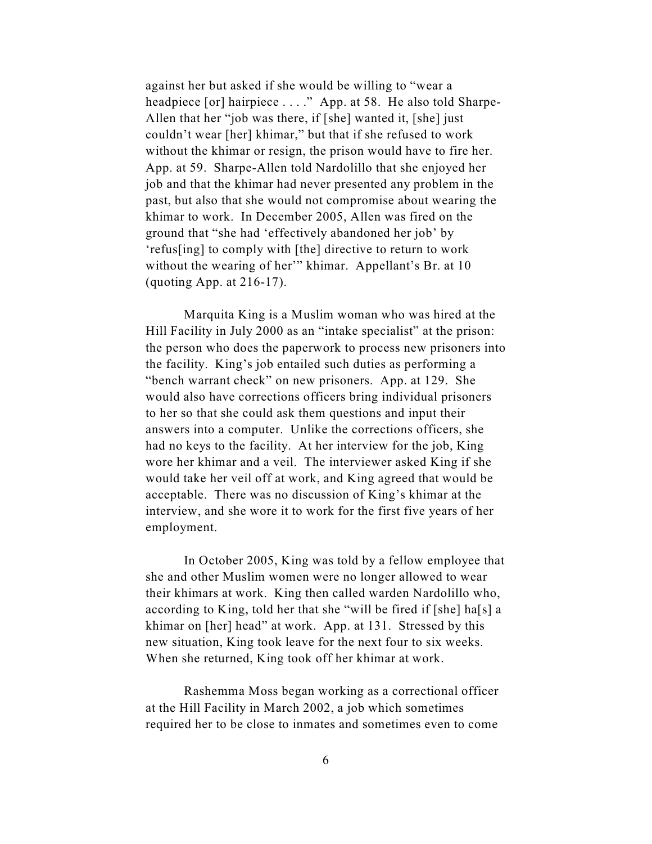against her but asked if she would be willing to "wear a headpiece [or] hairpiece . . . ." App. at 58. He also told Sharpe-Allen that her "job was there, if [she] wanted it, [she] just couldn't wear [her] khimar," but that if she refused to work without the khimar or resign, the prison would have to fire her. App. at 59. Sharpe-Allen told Nardolillo that she enjoyed her job and that the khimar had never presented any problem in the past, but also that she would not compromise about wearing the khimar to work. In December 2005, Allen was fired on the ground that "she had 'effectively abandoned her job' by 'refus[ing] to comply with [the] directive to return to work without the wearing of her'" khimar. Appellant's Br. at 10 (quoting App. at 216-17).

Marquita King is a Muslim woman who was hired at the Hill Facility in July 2000 as an "intake specialist" at the prison: the person who does the paperwork to process new prisoners into the facility. King's job entailed such duties as performing a "bench warrant check" on new prisoners. App. at 129. She would also have corrections officers bring individual prisoners to her so that she could ask them questions and input their answers into a computer. Unlike the corrections officers, she had no keys to the facility. At her interview for the job, King wore her khimar and a veil. The interviewer asked King if she would take her veil off at work, and King agreed that would be acceptable. There was no discussion of King's khimar at the interview, and she wore it to work for the first five years of her employment.

In October 2005, King was told by a fellow employee that she and other Muslim women were no longer allowed to wear their khimars at work. King then called warden Nardolillo who, according to King, told her that she "will be fired if [she] ha[s] a khimar on [her] head" at work. App. at 131. Stressed by this new situation, King took leave for the next four to six weeks. When she returned, King took off her khimar at work.

Rashemma Moss began working as a correctional officer at the Hill Facility in March 2002, a job which sometimes required her to be close to inmates and sometimes even to come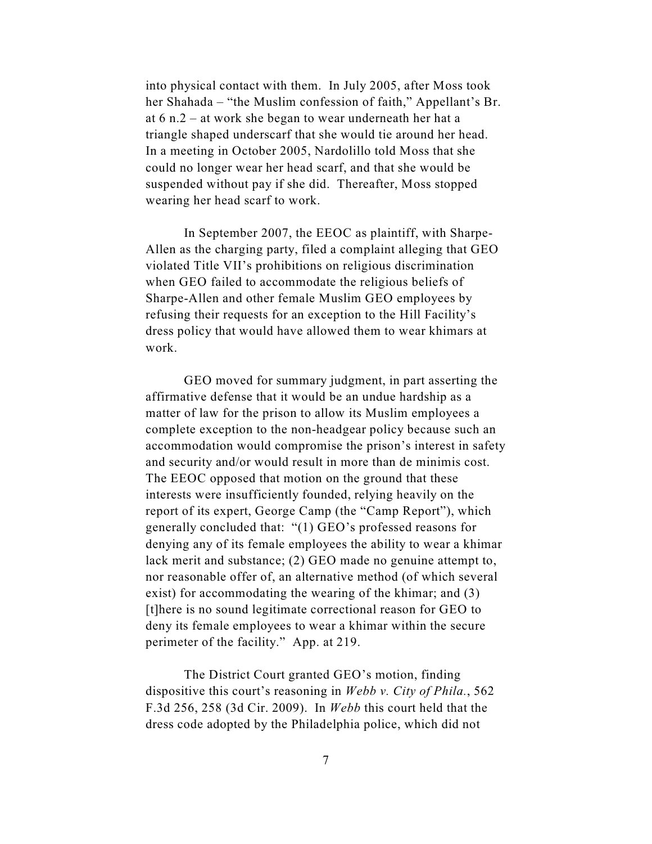into physical contact with them. In July 2005, after Moss took her Shahada – "the Muslim confession of faith," Appellant's Br. at 6 n.2 – at work she began to wear underneath her hat a triangle shaped underscarf that she would tie around her head. In a meeting in October 2005, Nardolillo told Moss that she could no longer wear her head scarf, and that she would be suspended without pay if she did. Thereafter, Moss stopped wearing her head scarf to work.

In September 2007, the EEOC as plaintiff, with Sharpe-Allen as the charging party, filed a complaint alleging that GEO violated Title VII's prohibitions on religious discrimination when GEO failed to accommodate the religious beliefs of Sharpe-Allen and other female Muslim GEO employees by refusing their requests for an exception to the Hill Facility's dress policy that would have allowed them to wear khimars at work.

GEO moved for summary judgment, in part asserting the affirmative defense that it would be an undue hardship as a matter of law for the prison to allow its Muslim employees a complete exception to the non-headgear policy because such an accommodation would compromise the prison's interest in safety and security and/or would result in more than de minimis cost. The EEOC opposed that motion on the ground that these interests were insufficiently founded, relying heavily on the report of its expert, George Camp (the "Camp Report"), which generally concluded that: "(1) GEO's professed reasons for denying any of its female employees the ability to wear a khimar lack merit and substance; (2) GEO made no genuine attempt to, nor reasonable offer of, an alternative method (of which several exist) for accommodating the wearing of the khimar; and (3) [t]here is no sound legitimate correctional reason for GEO to deny its female employees to wear a khimar within the secure perimeter of the facility." App. at 219.

The District Court granted GEO's motion, finding dispositive this court's reasoning in *Webb v. City of Phila.*, 562 F.3d 256, 258 (3d Cir. 2009). In *Webb* this court held that the dress code adopted by the Philadelphia police, which did not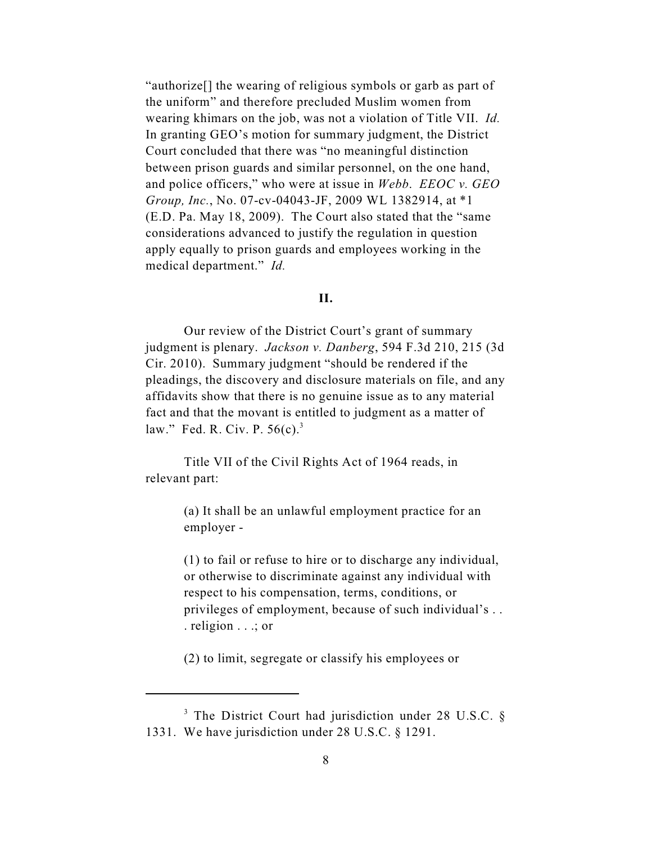"authorize[] the wearing of religious symbols or garb as part of the uniform" and therefore precluded Muslim women from wearing khimars on the job, was not a violation of Title VII. *Id.* In granting GEO's motion for summary judgment, the District Court concluded that there was "no meaningful distinction between prison guards and similar personnel, on the one hand, and police officers," who were at issue in *Webb*. *EEOC v. GEO Group, Inc.*, No. 07-cv-04043-JF, 2009 WL 1382914, at \*1 (E.D. Pa. May 18, 2009). The Court also stated that the "same considerations advanced to justify the regulation in question apply equally to prison guards and employees working in the medical department." *Id.*

## **II.**

Our review of the District Court's grant of summary judgment is plenary. *Jackson v. Danberg*, 594 F.3d 210, 215 (3d Cir. 2010). Summary judgment "should be rendered if the pleadings, the discovery and disclosure materials on file, and any affidavits show that there is no genuine issue as to any material fact and that the movant is entitled to judgment as a matter of law." Fed. R. Civ. P.  $56(c)$ .<sup>3</sup>

Title VII of the Civil Rights Act of 1964 reads, in relevant part:

> (a) It shall be an unlawful employment practice for an employer -

(1) to fail or refuse to hire or to discharge any individual, or otherwise to discriminate against any individual with respect to his compensation, terms, conditions, or privileges of employment, because of such individual's . . . religion . . .; or

(2) to limit, segregate or classify his employees or

<sup>&</sup>lt;sup>3</sup> The District Court had jurisdiction under 28 U.S.C.  $\S$ 1331. We have jurisdiction under 28 U.S.C. § 1291.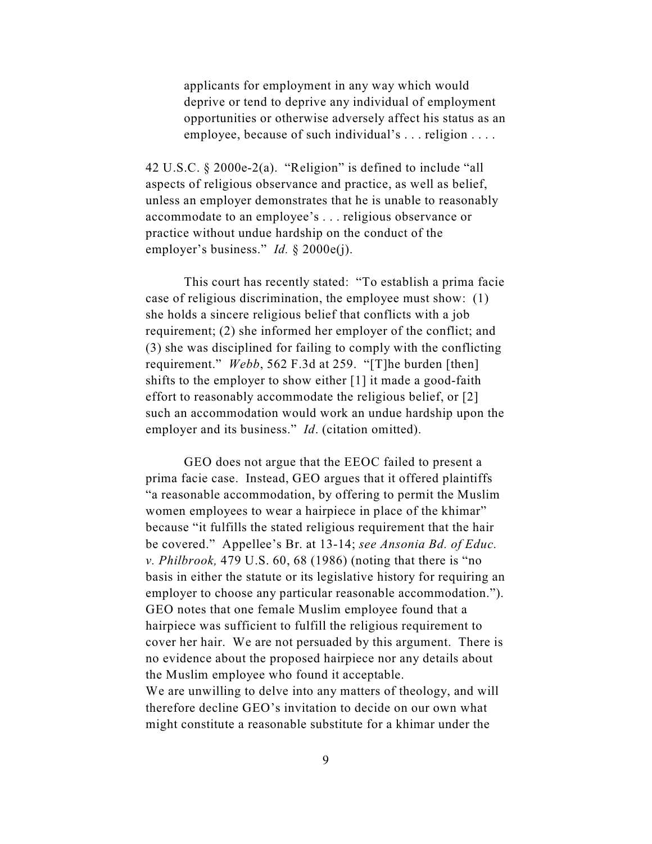applicants for employment in any way which would deprive or tend to deprive any individual of employment opportunities or otherwise adversely affect his status as an employee, because of such individual's . . . religion . . . .

42 U.S.C. § 2000e-2(a). "Religion" is defined to include "all aspects of religious observance and practice, as well as belief, unless an employer demonstrates that he is unable to reasonably accommodate to an employee's . . . religious observance or practice without undue hardship on the conduct of the employer's business." *Id.* § 2000e(j).

This court has recently stated: "To establish a prima facie case of religious discrimination, the employee must show: (1) she holds a sincere religious belief that conflicts with a job requirement; (2) she informed her employer of the conflict; and (3) she was disciplined for failing to comply with the conflicting requirement." *Webb*, 562 F.3d at 259. "[T]he burden [then] shifts to the employer to show either [1] it made a good-faith effort to reasonably accommodate the religious belief, or [2] such an accommodation would work an undue hardship upon the employer and its business." *Id*. (citation omitted).

GEO does not argue that the EEOC failed to present a prima facie case. Instead, GEO argues that it offered plaintiffs "a reasonable accommodation, by offering to permit the Muslim women employees to wear a hairpiece in place of the khimar" because "it fulfills the stated religious requirement that the hair be covered." Appellee's Br. at 13-14; *see Ansonia Bd. of Educ. v. Philbrook,* 479 U.S. 60, 68 (1986) (noting that there is "no basis in either the statute or its legislative history for requiring an employer to choose any particular reasonable accommodation."). GEO notes that one female Muslim employee found that a hairpiece was sufficient to fulfill the religious requirement to cover her hair. We are not persuaded by this argument. There is no evidence about the proposed hairpiece nor any details about the Muslim employee who found it acceptable. We are unwilling to delve into any matters of theology, and will

therefore decline GEO's invitation to decide on our own what might constitute a reasonable substitute for a khimar under the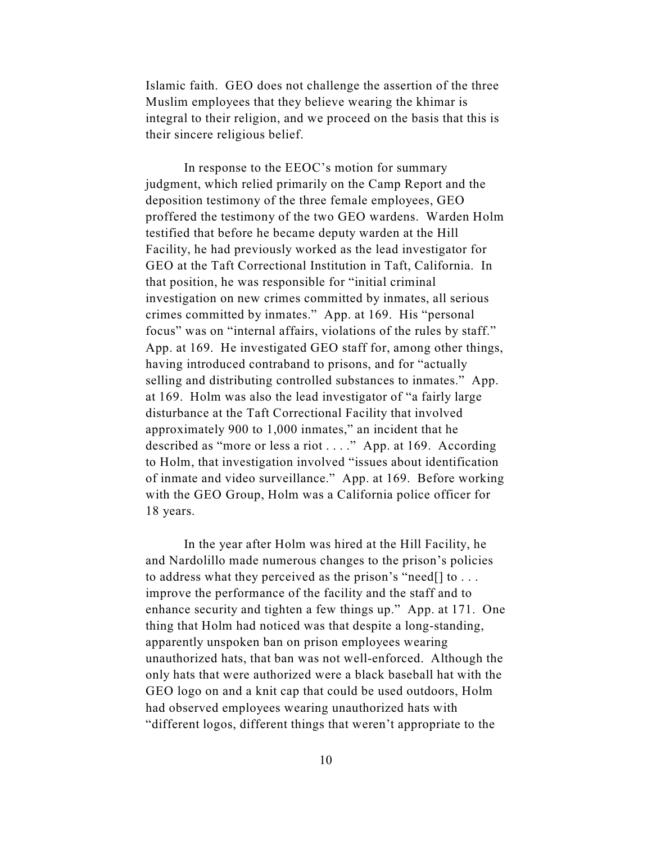Islamic faith. GEO does not challenge the assertion of the three Muslim employees that they believe wearing the khimar is integral to their religion, and we proceed on the basis that this is their sincere religious belief.

In response to the EEOC's motion for summary judgment, which relied primarily on the Camp Report and the deposition testimony of the three female employees, GEO proffered the testimony of the two GEO wardens. Warden Holm testified that before he became deputy warden at the Hill Facility, he had previously worked as the lead investigator for GEO at the Taft Correctional Institution in Taft, California. In that position, he was responsible for "initial criminal investigation on new crimes committed by inmates, all serious crimes committed by inmates." App. at 169. His "personal focus" was on "internal affairs, violations of the rules by staff." App. at 169. He investigated GEO staff for, among other things, having introduced contraband to prisons, and for "actually selling and distributing controlled substances to inmates." App. at 169. Holm was also the lead investigator of "a fairly large disturbance at the Taft Correctional Facility that involved approximately 900 to 1,000 inmates," an incident that he described as "more or less a riot . . . ." App. at 169. According to Holm, that investigation involved "issues about identification of inmate and video surveillance." App. at 169. Before working with the GEO Group, Holm was a California police officer for 18 years.

In the year after Holm was hired at the Hill Facility, he and Nardolillo made numerous changes to the prison's policies to address what they perceived as the prison's "need[] to . . . improve the performance of the facility and the staff and to enhance security and tighten a few things up." App. at 171. One thing that Holm had noticed was that despite a long-standing, apparently unspoken ban on prison employees wearing unauthorized hats, that ban was not well-enforced. Although the only hats that were authorized were a black baseball hat with the GEO logo on and a knit cap that could be used outdoors, Holm had observed employees wearing unauthorized hats with "different logos, different things that weren't appropriate to the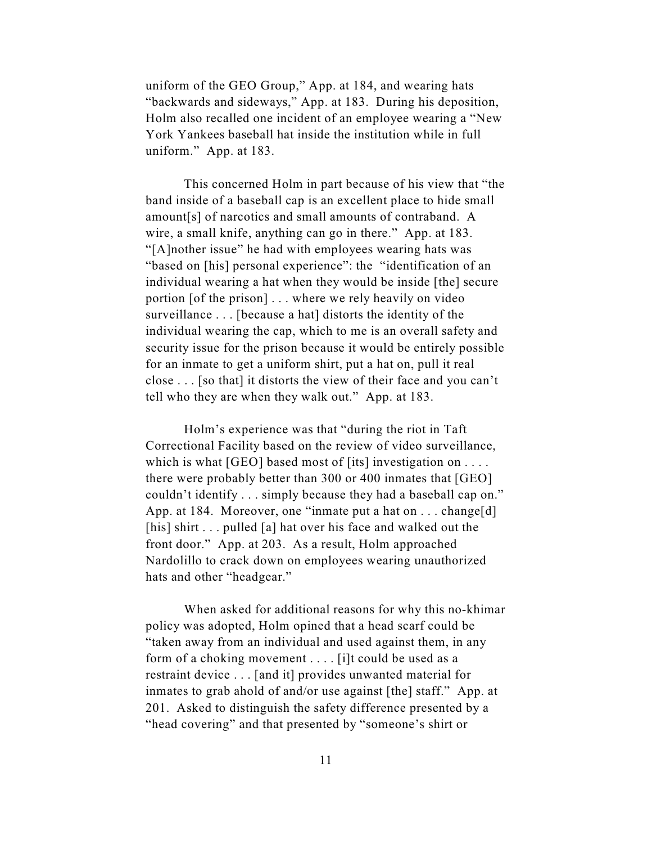uniform of the GEO Group," App. at 184, and wearing hats "backwards and sideways," App. at 183. During his deposition, Holm also recalled one incident of an employee wearing a "New York Yankees baseball hat inside the institution while in full uniform." App. at 183.

This concerned Holm in part because of his view that "the band inside of a baseball cap is an excellent place to hide small amount[s] of narcotics and small amounts of contraband. A wire, a small knife, anything can go in there." App. at 183. "[A]nother issue" he had with employees wearing hats was "based on [his] personal experience": the "identification of an individual wearing a hat when they would be inside [the] secure portion [of the prison] . . . where we rely heavily on video surveillance . . . [because a hat] distorts the identity of the individual wearing the cap, which to me is an overall safety and security issue for the prison because it would be entirely possible for an inmate to get a uniform shirt, put a hat on, pull it real close . . . [so that] it distorts the view of their face and you can't tell who they are when they walk out." App. at 183.

Holm's experience was that "during the riot in Taft Correctional Facility based on the review of video surveillance, which is what  $[GEO]$  based most of  $[its]$  investigation on ... there were probably better than 300 or 400 inmates that [GEO] couldn't identify . . . simply because they had a baseball cap on." App. at 184. Moreover, one "inmate put a hat on . . . change[d] [his] shirt . . . pulled [a] hat over his face and walked out the front door." App. at 203. As a result, Holm approached Nardolillo to crack down on employees wearing unauthorized hats and other "headgear."

When asked for additional reasons for why this no-khimar policy was adopted, Holm opined that a head scarf could be "taken away from an individual and used against them, in any form of a choking movement . . . . [i]t could be used as a restraint device . . . [and it] provides unwanted material for inmates to grab ahold of and/or use against [the] staff." App. at 201. Asked to distinguish the safety difference presented by a "head covering" and that presented by "someone's shirt or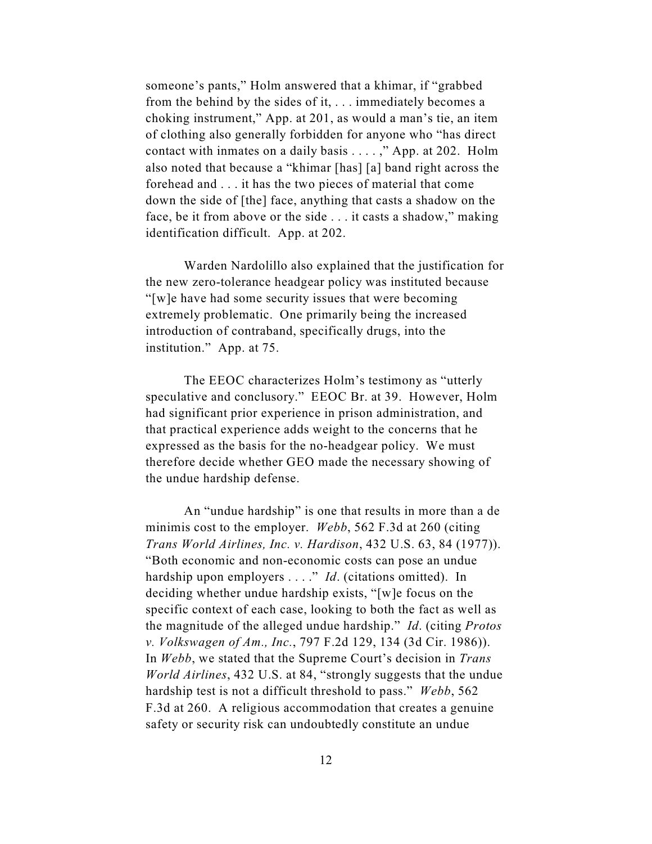someone's pants," Holm answered that a khimar, if "grabbed from the behind by the sides of it, . . . immediately becomes a choking instrument," App. at 201, as would a man's tie, an item of clothing also generally forbidden for anyone who "has direct contact with inmates on a daily basis . . . . ," App. at 202. Holm also noted that because a "khimar [has] [a] band right across the forehead and . . . it has the two pieces of material that come down the side of [the] face, anything that casts a shadow on the face, be it from above or the side . . . it casts a shadow," making identification difficult. App. at 202.

Warden Nardolillo also explained that the justification for the new zero-tolerance headgear policy was instituted because "[w]e have had some security issues that were becoming extremely problematic. One primarily being the increased introduction of contraband, specifically drugs, into the institution." App. at 75.

The EEOC characterizes Holm's testimony as "utterly speculative and conclusory." EEOC Br. at 39. However, Holm had significant prior experience in prison administration, and that practical experience adds weight to the concerns that he expressed as the basis for the no-headgear policy. We must therefore decide whether GEO made the necessary showing of the undue hardship defense.

An "undue hardship" is one that results in more than a de minimis cost to the employer. *Webb*, 562 F.3d at 260 (citing *Trans World Airlines, Inc. v. Hardison*, 432 U.S. 63, 84 (1977)). "Both economic and non-economic costs can pose an undue hardship upon employers . . . ." *Id*. (citations omitted). In deciding whether undue hardship exists, "[w]e focus on the specific context of each case, looking to both the fact as well as the magnitude of the alleged undue hardship." *Id*. (citing *Protos v. Volkswagen of Am., Inc.*, 797 F.2d 129, 134 (3d Cir. 1986)). In *Webb*, we stated that the Supreme Court's decision in *Trans World Airlines*, 432 U.S. at 84, "strongly suggests that the undue hardship test is not a difficult threshold to pass." *Webb*, 562 F.3d at 260. A religious accommodation that creates a genuine safety or security risk can undoubtedly constitute an undue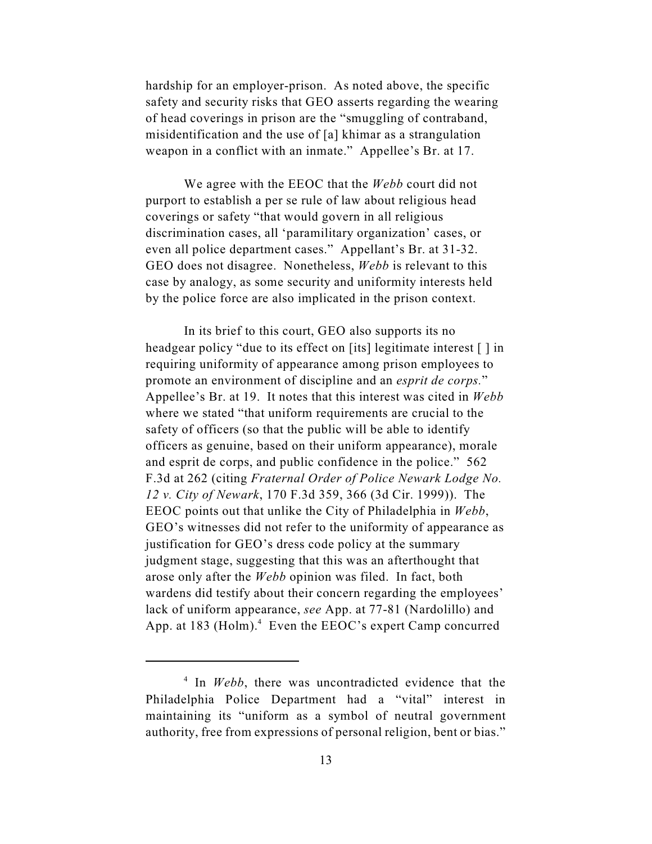hardship for an employer-prison. As noted above, the specific safety and security risks that GEO asserts regarding the wearing of head coverings in prison are the "smuggling of contraband, misidentification and the use of [a] khimar as a strangulation weapon in a conflict with an inmate." Appellee's Br. at 17.

We agree with the EEOC that the *Webb* court did not purport to establish a per se rule of law about religious head coverings or safety "that would govern in all religious discrimination cases, all 'paramilitary organization' cases, or even all police department cases." Appellant's Br. at 31-32. GEO does not disagree. Nonetheless, *Webb* is relevant to this case by analogy, as some security and uniformity interests held by the police force are also implicated in the prison context.

In its brief to this court, GEO also supports its no headgear policy "due to its effect on [its] legitimate interest [ ] in requiring uniformity of appearance among prison employees to promote an environment of discipline and an *esprit de corps.*" Appellee's Br. at 19. It notes that this interest was cited in *Webb* where we stated "that uniform requirements are crucial to the safety of officers (so that the public will be able to identify officers as genuine, based on their uniform appearance), morale and esprit de corps, and public confidence in the police." 562 F.3d at 262 (citing *Fraternal Order of Police Newark Lodge No. 12 v. City of Newark*, 170 F.3d 359, 366 (3d Cir. 1999)). The EEOC points out that unlike the City of Philadelphia in *Webb*, GEO's witnesses did not refer to the uniformity of appearance as justification for GEO's dress code policy at the summary judgment stage, suggesting that this was an afterthought that arose only after the *Webb* opinion was filed. In fact, both wardens did testify about their concern regarding the employees' lack of uniform appearance, *see* App. at 77-81 (Nardolillo) and App. at 183 (Holm). $4$  Even the EEOC's expert Camp concurred

 $\frac{4}{1}$  In *Webb*, there was uncontradicted evidence that the Philadelphia Police Department had a "vital" interest in maintaining its "uniform as a symbol of neutral government authority, free from expressions of personal religion, bent or bias."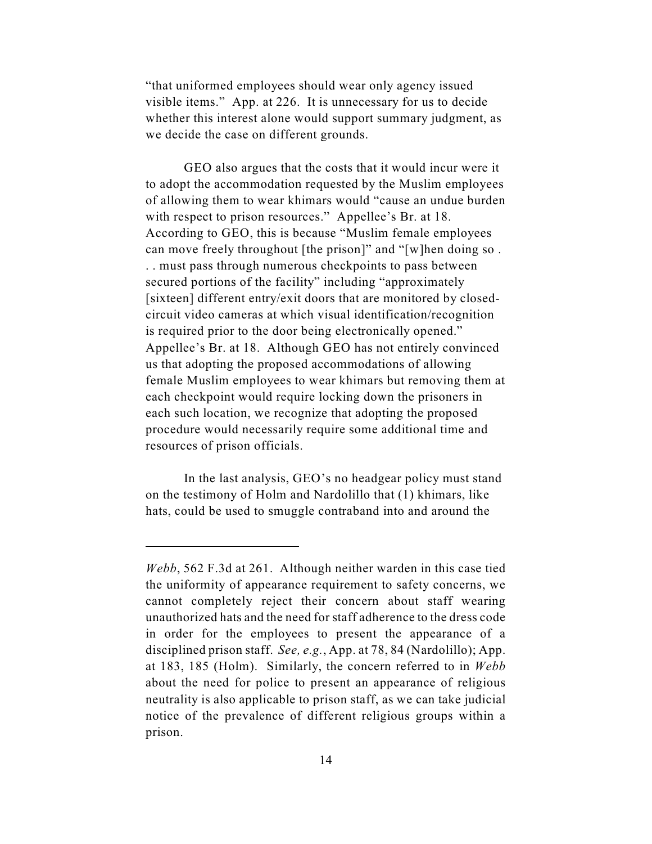"that uniformed employees should wear only agency issued visible items." App. at 226. It is unnecessary for us to decide whether this interest alone would support summary judgment, as we decide the case on different grounds.

GEO also argues that the costs that it would incur were it to adopt the accommodation requested by the Muslim employees of allowing them to wear khimars would "cause an undue burden with respect to prison resources." Appellee's Br. at 18. According to GEO, this is because "Muslim female employees can move freely throughout [the prison]" and "[w]hen doing so . . . must pass through numerous checkpoints to pass between secured portions of the facility" including "approximately [sixteen] different entry/exit doors that are monitored by closedcircuit video cameras at which visual identification/recognition is required prior to the door being electronically opened." Appellee's Br. at 18. Although GEO has not entirely convinced us that adopting the proposed accommodations of allowing female Muslim employees to wear khimars but removing them at each checkpoint would require locking down the prisoners in each such location, we recognize that adopting the proposed procedure would necessarily require some additional time and resources of prison officials.

In the last analysis, GEO's no headgear policy must stand on the testimony of Holm and Nardolillo that (1) khimars, like hats, could be used to smuggle contraband into and around the

*Webb*, 562 F.3d at 261. Although neither warden in this case tied the uniformity of appearance requirement to safety concerns, we cannot completely reject their concern about staff wearing unauthorized hats and the need for staff adherence to the dress code in order for the employees to present the appearance of a disciplined prison staff. *See, e.g.*, App. at 78, 84 (Nardolillo); App. at 183, 185 (Holm). Similarly, the concern referred to in *Webb* about the need for police to present an appearance of religious neutrality is also applicable to prison staff, as we can take judicial notice of the prevalence of different religious groups within a prison.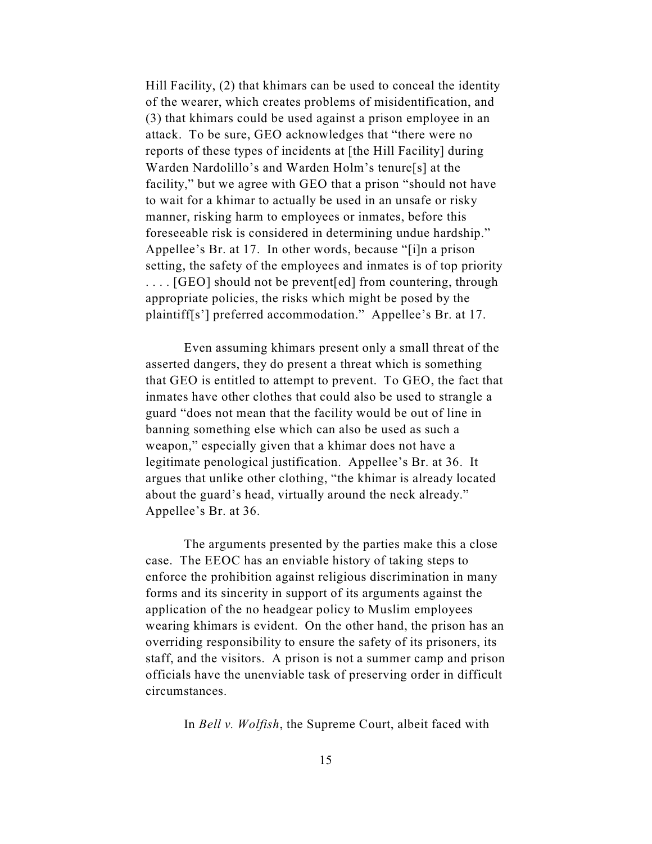Hill Facility, (2) that khimars can be used to conceal the identity of the wearer, which creates problems of misidentification, and (3) that khimars could be used against a prison employee in an attack. To be sure, GEO acknowledges that "there were no reports of these types of incidents at [the Hill Facility] during Warden Nardolillo's and Warden Holm's tenure[s] at the facility," but we agree with GEO that a prison "should not have to wait for a khimar to actually be used in an unsafe or risky manner, risking harm to employees or inmates, before this foreseeable risk is considered in determining undue hardship." Appellee's Br. at 17. In other words, because "[i]n a prison setting, the safety of the employees and inmates is of top priority . . . . [GEO] should not be prevent[ed] from countering, through appropriate policies, the risks which might be posed by the plaintiff[s'] preferred accommodation." Appellee's Br. at 17.

Even assuming khimars present only a small threat of the asserted dangers, they do present a threat which is something that GEO is entitled to attempt to prevent. To GEO, the fact that inmates have other clothes that could also be used to strangle a guard "does not mean that the facility would be out of line in banning something else which can also be used as such a weapon," especially given that a khimar does not have a legitimate penological justification. Appellee's Br. at 36. It argues that unlike other clothing, "the khimar is already located about the guard's head, virtually around the neck already." Appellee's Br. at 36.

The arguments presented by the parties make this a close case. The EEOC has an enviable history of taking steps to enforce the prohibition against religious discrimination in many forms and its sincerity in support of its arguments against the application of the no headgear policy to Muslim employees wearing khimars is evident. On the other hand, the prison has an overriding responsibility to ensure the safety of its prisoners, its staff, and the visitors. A prison is not a summer camp and prison officials have the unenviable task of preserving order in difficult circumstances.

In *Bell v. Wolfish*, the Supreme Court, albeit faced with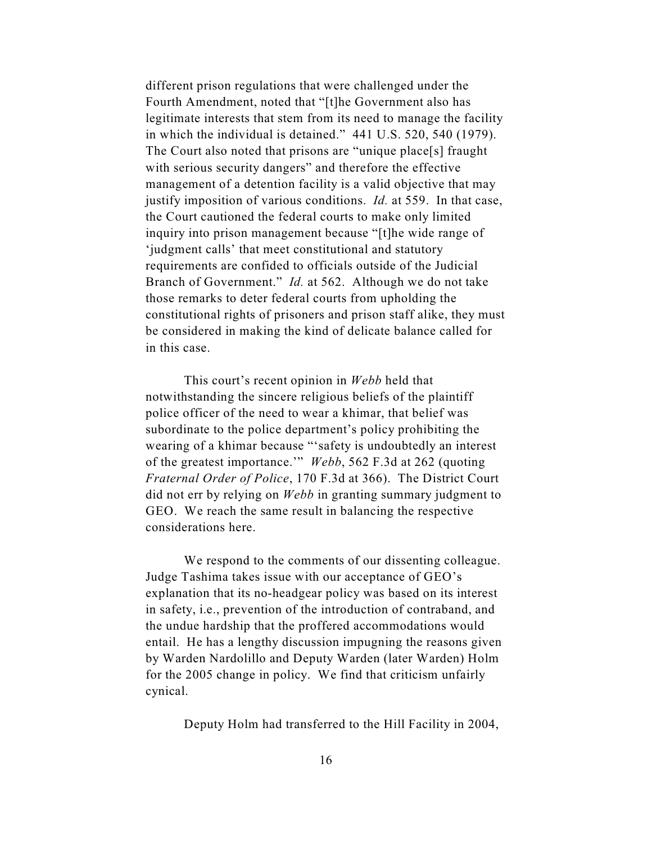different prison regulations that were challenged under the Fourth Amendment, noted that "[t]he Government also has legitimate interests that stem from its need to manage the facility in which the individual is detained." 441 U.S. 520, 540 (1979). The Court also noted that prisons are "unique place[s] fraught with serious security dangers" and therefore the effective management of a detention facility is a valid objective that may justify imposition of various conditions. *Id.* at 559. In that case, the Court cautioned the federal courts to make only limited inquiry into prison management because "[t]he wide range of 'judgment calls' that meet constitutional and statutory requirements are confided to officials outside of the Judicial Branch of Government." *Id.* at 562. Although we do not take those remarks to deter federal courts from upholding the constitutional rights of prisoners and prison staff alike, they must be considered in making the kind of delicate balance called for in this case.

This court's recent opinion in *Webb* held that notwithstanding the sincere religious beliefs of the plaintiff police officer of the need to wear a khimar, that belief was subordinate to the police department's policy prohibiting the wearing of a khimar because "'safety is undoubtedly an interest of the greatest importance.'" *Webb*, 562 F.3d at 262 (quoting *Fraternal Order of Police*, 170 F.3d at 366). The District Court did not err by relying on *Webb* in granting summary judgment to GEO. We reach the same result in balancing the respective considerations here.

We respond to the comments of our dissenting colleague. Judge Tashima takes issue with our acceptance of GEO's explanation that its no-headgear policy was based on its interest in safety, i.e., prevention of the introduction of contraband, and the undue hardship that the proffered accommodations would entail. He has a lengthy discussion impugning the reasons given by Warden Nardolillo and Deputy Warden (later Warden) Holm for the 2005 change in policy. We find that criticism unfairly cynical.

Deputy Holm had transferred to the Hill Facility in 2004,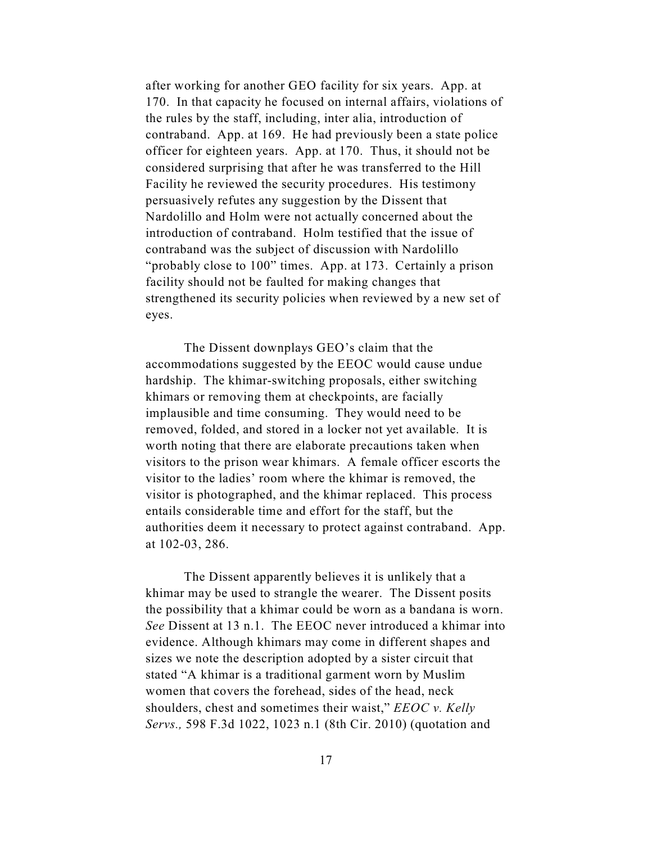after working for another GEO facility for six years. App. at 170. In that capacity he focused on internal affairs, violations of the rules by the staff, including, inter alia, introduction of contraband. App. at 169. He had previously been a state police officer for eighteen years. App. at 170. Thus, it should not be considered surprising that after he was transferred to the Hill Facility he reviewed the security procedures. His testimony persuasively refutes any suggestion by the Dissent that Nardolillo and Holm were not actually concerned about the introduction of contraband. Holm testified that the issue of contraband was the subject of discussion with Nardolillo "probably close to 100" times. App. at 173. Certainly a prison facility should not be faulted for making changes that strengthened its security policies when reviewed by a new set of eyes.

The Dissent downplays GEO's claim that the accommodations suggested by the EEOC would cause undue hardship. The khimar-switching proposals, either switching khimars or removing them at checkpoints, are facially implausible and time consuming. They would need to be removed, folded, and stored in a locker not yet available. It is worth noting that there are elaborate precautions taken when visitors to the prison wear khimars. A female officer escorts the visitor to the ladies' room where the khimar is removed, the visitor is photographed, and the khimar replaced. This process entails considerable time and effort for the staff, but the authorities deem it necessary to protect against contraband. App. at 102-03, 286.

The Dissent apparently believes it is unlikely that a khimar may be used to strangle the wearer. The Dissent posits the possibility that a khimar could be worn as a bandana is worn. *See* Dissent at 13 n.1. The EEOC never introduced a khimar into evidence. Although khimars may come in different shapes and sizes we note the description adopted by a sister circuit that stated "A khimar is a traditional garment worn by Muslim women that covers the forehead, sides of the head, neck shoulders, chest and sometimes their waist," *EEOC v. Kelly Servs.,* 598 F.3d 1022, 1023 n.1 (8th Cir. 2010) (quotation and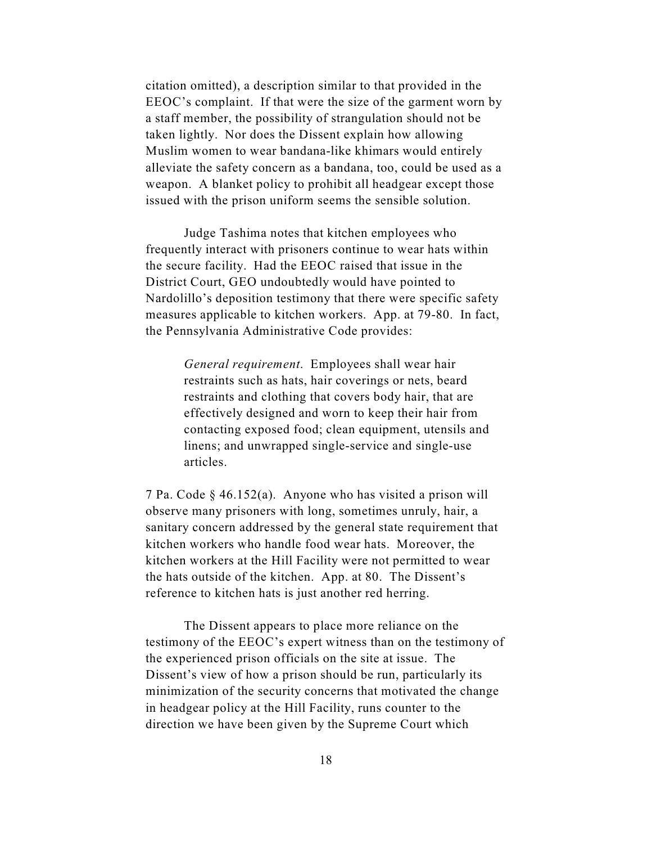citation omitted), a description similar to that provided in the EEOC's complaint. If that were the size of the garment worn by a staff member, the possibility of strangulation should not be taken lightly. Nor does the Dissent explain how allowing Muslim women to wear bandana-like khimars would entirely alleviate the safety concern as a bandana, too, could be used as a weapon. A blanket policy to prohibit all headgear except those issued with the prison uniform seems the sensible solution.

Judge Tashima notes that kitchen employees who frequently interact with prisoners continue to wear hats within the secure facility. Had the EEOC raised that issue in the District Court, GEO undoubtedly would have pointed to Nardolillo's deposition testimony that there were specific safety measures applicable to kitchen workers. App. at 79-80. In fact, the Pennsylvania Administrative Code provides:

> *General requirement*. Employees shall wear hair restraints such as hats, hair coverings or nets, beard restraints and clothing that covers body hair, that are effectively designed and worn to keep their hair from contacting exposed food; clean equipment, utensils and linens; and unwrapped single-service and single-use articles.

7 Pa. Code § 46.152(a). Anyone who has visited a prison will observe many prisoners with long, sometimes unruly, hair, a sanitary concern addressed by the general state requirement that kitchen workers who handle food wear hats. Moreover, the kitchen workers at the Hill Facility were not permitted to wear the hats outside of the kitchen. App. at 80. The Dissent's reference to kitchen hats is just another red herring.

The Dissent appears to place more reliance on the testimony of the EEOC's expert witness than on the testimony of the experienced prison officials on the site at issue. The Dissent's view of how a prison should be run, particularly its minimization of the security concerns that motivated the change in headgear policy at the Hill Facility, runs counter to the direction we have been given by the Supreme Court which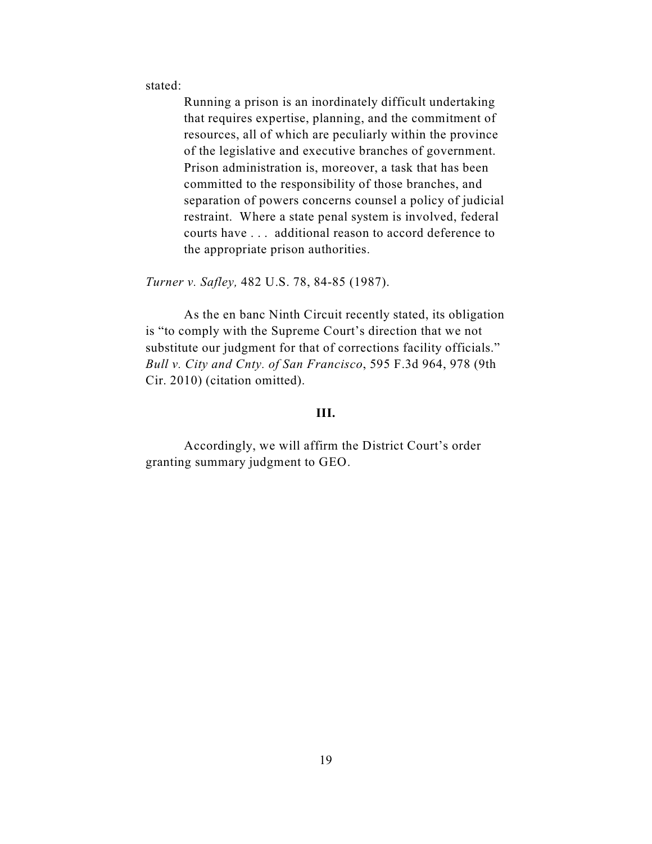stated:

Running a prison is an inordinately difficult undertaking that requires expertise, planning, and the commitment of resources, all of which are peculiarly within the province of the legislative and executive branches of government. Prison administration is, moreover, a task that has been committed to the responsibility of those branches, and separation of powers concerns counsel a policy of judicial restraint. Where a state penal system is involved, federal courts have . . . additional reason to accord deference to the appropriate prison authorities.

*Turner v. Safley,* 482 U.S. 78, 84-85 (1987).

As the en banc Ninth Circuit recently stated, its obligation is "to comply with the Supreme Court's direction that we not substitute our judgment for that of corrections facility officials." *Bull v. City and Cnty. of San Francisco*, 595 F.3d 964, 978 (9th Cir. 2010) (citation omitted).

## **III.**

Accordingly, we will affirm the District Court's order granting summary judgment to GEO.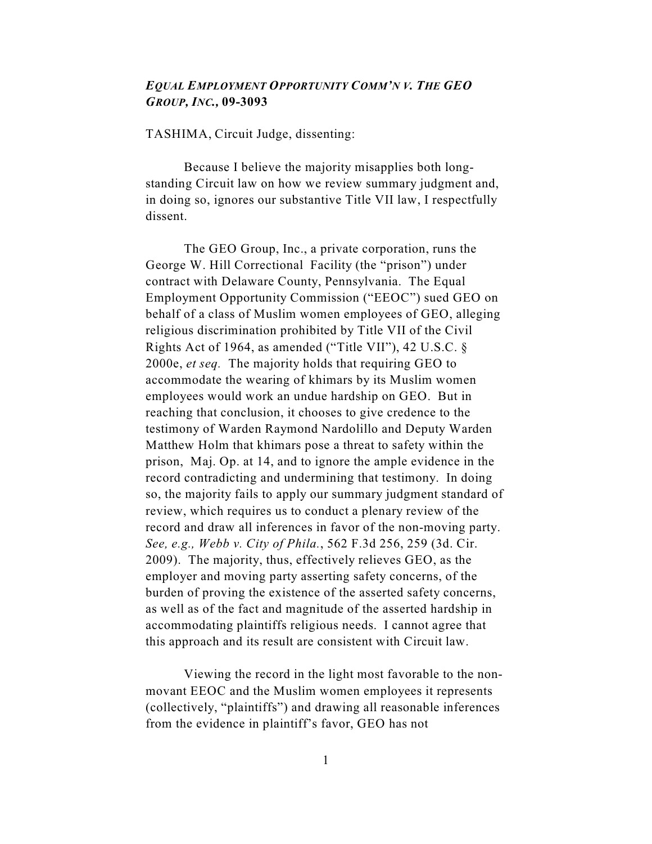# *EQUAL EMPLOYMENT OPPORTUNITY COMM'N V. THE GEO GROUP, INC.,* **09-3093**

TASHIMA, Circuit Judge, dissenting:

Because I believe the majority misapplies both longstanding Circuit law on how we review summary judgment and, in doing so, ignores our substantive Title VII law, I respectfully dissent.

The GEO Group, Inc., a private corporation, runs the George W. Hill Correctional Facility (the "prison") under contract with Delaware County, Pennsylvania. The Equal Employment Opportunity Commission ("EEOC") sued GEO on behalf of a class of Muslim women employees of GEO, alleging religious discrimination prohibited by Title VII of the Civil Rights Act of 1964, as amended ("Title VII"), 42 U.S.C. § 2000e, *et seq.* The majority holds that requiring GEO to accommodate the wearing of khimars by its Muslim women employees would work an undue hardship on GEO. But in reaching that conclusion, it chooses to give credence to the testimony of Warden Raymond Nardolillo and Deputy Warden Matthew Holm that khimars pose a threat to safety within the prison, Maj. Op. at 14, and to ignore the ample evidence in the record contradicting and undermining that testimony. In doing so, the majority fails to apply our summary judgment standard of review, which requires us to conduct a plenary review of the record and draw all inferences in favor of the non-moving party. *See, e.g., Webb v. City of Phila.*, 562 F.3d 256, 259 (3d. Cir. 2009). The majority, thus, effectively relieves GEO, as the employer and moving party asserting safety concerns, of the burden of proving the existence of the asserted safety concerns, as well as of the fact and magnitude of the asserted hardship in accommodating plaintiffs religious needs. I cannot agree that this approach and its result are consistent with Circuit law.

Viewing the record in the light most favorable to the nonmovant EEOC and the Muslim women employees it represents (collectively, "plaintiffs") and drawing all reasonable inferences from the evidence in plaintiff's favor, GEO has not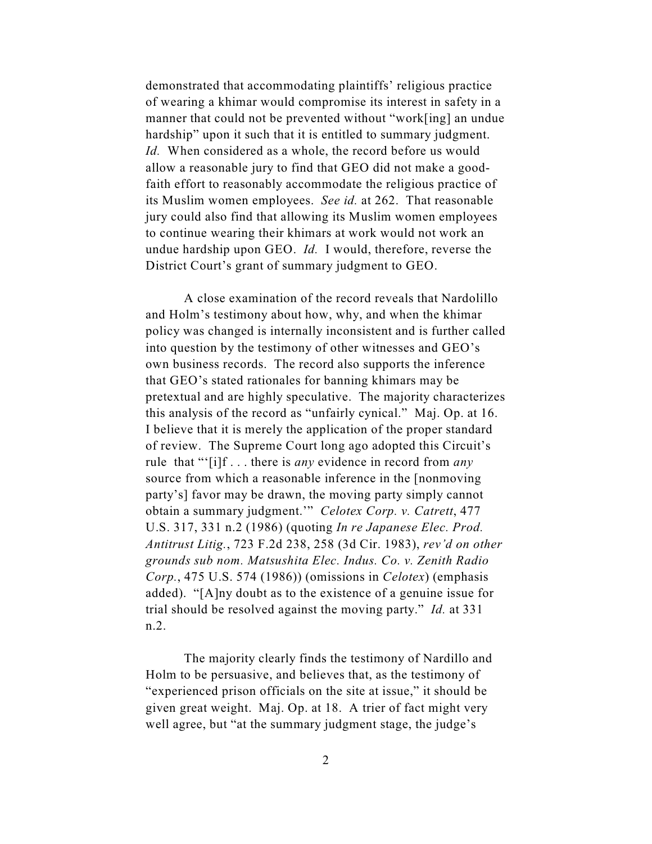demonstrated that accommodating plaintiffs' religious practice of wearing a khimar would compromise its interest in safety in a manner that could not be prevented without "work[ing] an undue hardship" upon it such that it is entitled to summary judgment. *Id.* When considered as a whole, the record before us would allow a reasonable jury to find that GEO did not make a goodfaith effort to reasonably accommodate the religious practice of its Muslim women employees. *See id.* at 262. That reasonable jury could also find that allowing its Muslim women employees to continue wearing their khimars at work would not work an undue hardship upon GEO. *Id.* I would, therefore, reverse the District Court's grant of summary judgment to GEO.

A close examination of the record reveals that Nardolillo and Holm's testimony about how, why, and when the khimar policy was changed is internally inconsistent and is further called into question by the testimony of other witnesses and GEO's own business records. The record also supports the inference that GEO's stated rationales for banning khimars may be pretextual and are highly speculative. The majority characterizes this analysis of the record as "unfairly cynical." Maj. Op. at 16. I believe that it is merely the application of the proper standard of review. The Supreme Court long ago adopted this Circuit's rule that "'[i]f . . . there is *any* evidence in record from *any* source from which a reasonable inference in the [nonmoving party's] favor may be drawn, the moving party simply cannot obtain a summary judgment.'" *Celotex Corp. v. Catrett*, 477 U.S. 317, 331 n.2 (1986) (quoting *In re Japanese Elec. Prod. Antitrust Litig.*, 723 F.2d 238, 258 (3d Cir. 1983), *rev'd on other grounds sub nom. Matsushita Elec. Indus. Co. v. Zenith Radio Corp.*, 475 U.S. 574 (1986)) (omissions in *Celotex*) (emphasis added). "[A]ny doubt as to the existence of a genuine issue for trial should be resolved against the moving party." *Id.* at 331 n.2.

The majority clearly finds the testimony of Nardillo and Holm to be persuasive, and believes that, as the testimony of "experienced prison officials on the site at issue," it should be given great weight. Maj. Op. at 18. A trier of fact might very well agree, but "at the summary judgment stage, the judge's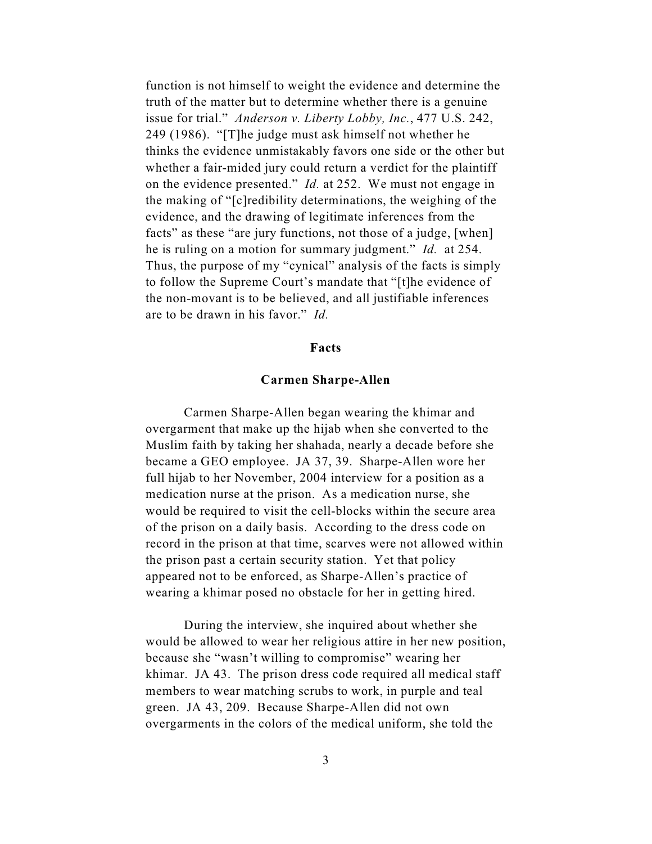function is not himself to weight the evidence and determine the truth of the matter but to determine whether there is a genuine issue for trial." *Anderson v. Liberty Lobby, Inc.*, 477 U.S. 242, 249 (1986). "[T]he judge must ask himself not whether he thinks the evidence unmistakably favors one side or the other but whether a fair-mided jury could return a verdict for the plaintiff on the evidence presented." *Id.* at 252. We must not engage in the making of "[c]redibility determinations, the weighing of the evidence, and the drawing of legitimate inferences from the facts" as these "are jury functions, not those of a judge, [when] he is ruling on a motion for summary judgment." *Id.* at 254. Thus, the purpose of my "cynical" analysis of the facts is simply to follow the Supreme Court's mandate that "[t]he evidence of the non-movant is to be believed, and all justifiable inferences are to be drawn in his favor." *Id.*

## **Facts**

## **Carmen Sharpe-Allen**

Carmen Sharpe-Allen began wearing the khimar and overgarment that make up the hijab when she converted to the Muslim faith by taking her shahada, nearly a decade before she became a GEO employee. JA 37, 39. Sharpe-Allen wore her full hijab to her November, 2004 interview for a position as a medication nurse at the prison. As a medication nurse, she would be required to visit the cell-blocks within the secure area of the prison on a daily basis. According to the dress code on record in the prison at that time, scarves were not allowed within the prison past a certain security station. Yet that policy appeared not to be enforced, as Sharpe-Allen's practice of wearing a khimar posed no obstacle for her in getting hired.

During the interview, she inquired about whether she would be allowed to wear her religious attire in her new position, because she "wasn't willing to compromise" wearing her khimar. JA 43. The prison dress code required all medical staff members to wear matching scrubs to work, in purple and teal green. JA 43, 209. Because Sharpe-Allen did not own overgarments in the colors of the medical uniform, she told the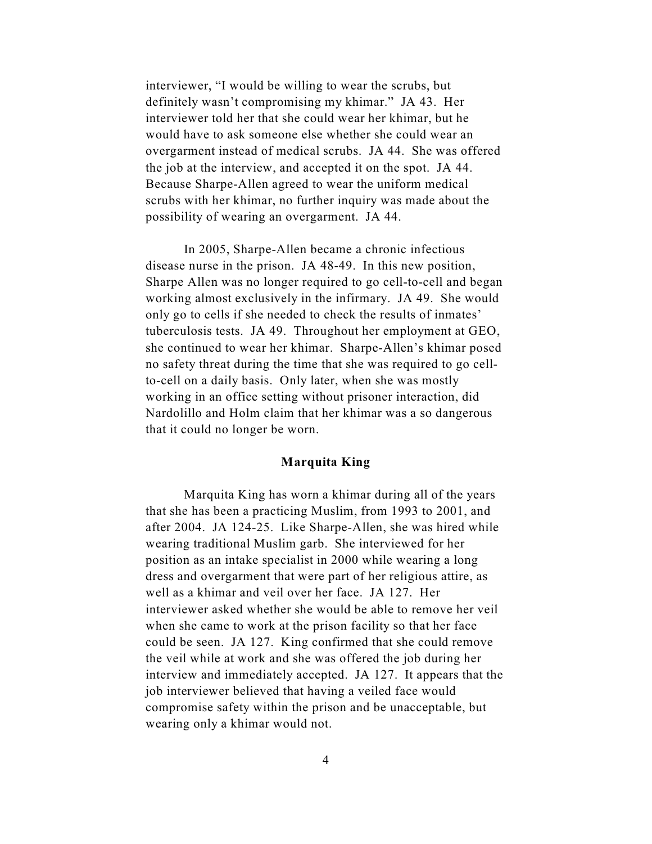interviewer, "I would be willing to wear the scrubs, but definitely wasn't compromising my khimar." JA 43. Her interviewer told her that she could wear her khimar, but he would have to ask someone else whether she could wear an overgarment instead of medical scrubs. JA 44. She was offered the job at the interview, and accepted it on the spot. JA 44. Because Sharpe-Allen agreed to wear the uniform medical scrubs with her khimar, no further inquiry was made about the possibility of wearing an overgarment. JA 44.

In 2005, Sharpe-Allen became a chronic infectious disease nurse in the prison. JA 48-49. In this new position, Sharpe Allen was no longer required to go cell-to-cell and began working almost exclusively in the infirmary. JA 49. She would only go to cells if she needed to check the results of inmates' tuberculosis tests. JA 49. Throughout her employment at GEO, she continued to wear her khimar. Sharpe-Allen's khimar posed no safety threat during the time that she was required to go cellto-cell on a daily basis. Only later, when she was mostly working in an office setting without prisoner interaction, did Nardolillo and Holm claim that her khimar was a so dangerous that it could no longer be worn.

## **Marquita King**

Marquita King has worn a khimar during all of the years that she has been a practicing Muslim, from 1993 to 2001, and after 2004. JA 124-25. Like Sharpe-Allen, she was hired while wearing traditional Muslim garb. She interviewed for her position as an intake specialist in 2000 while wearing a long dress and overgarment that were part of her religious attire, as well as a khimar and veil over her face. JA 127. Her interviewer asked whether she would be able to remove her veil when she came to work at the prison facility so that her face could be seen. JA 127. King confirmed that she could remove the veil while at work and she was offered the job during her interview and immediately accepted. JA 127. It appears that the job interviewer believed that having a veiled face would compromise safety within the prison and be unacceptable, but wearing only a khimar would not.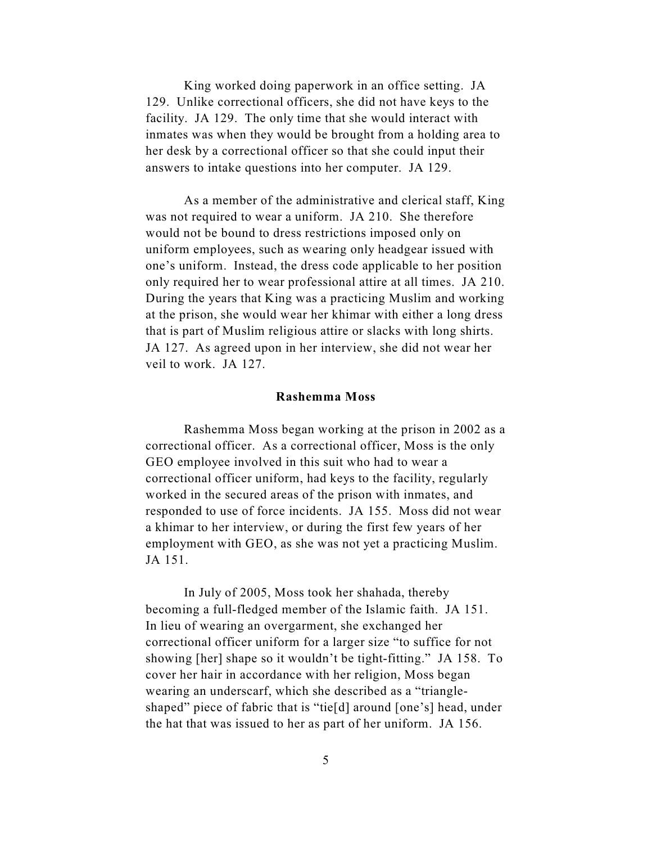King worked doing paperwork in an office setting. JA 129. Unlike correctional officers, she did not have keys to the facility. JA 129. The only time that she would interact with inmates was when they would be brought from a holding area to her desk by a correctional officer so that she could input their answers to intake questions into her computer. JA 129.

As a member of the administrative and clerical staff, King was not required to wear a uniform. JA 210. She therefore would not be bound to dress restrictions imposed only on uniform employees, such as wearing only headgear issued with one's uniform. Instead, the dress code applicable to her position only required her to wear professional attire at all times. JA 210. During the years that King was a practicing Muslim and working at the prison, she would wear her khimar with either a long dress that is part of Muslim religious attire or slacks with long shirts. JA 127. As agreed upon in her interview, she did not wear her veil to work. JA 127.

#### **Rashemma Moss**

Rashemma Moss began working at the prison in 2002 as a correctional officer. As a correctional officer, Moss is the only GEO employee involved in this suit who had to wear a correctional officer uniform, had keys to the facility, regularly worked in the secured areas of the prison with inmates, and responded to use of force incidents. JA 155. Moss did not wear a khimar to her interview, or during the first few years of her employment with GEO, as she was not yet a practicing Muslim. JA 151.

In July of 2005, Moss took her shahada, thereby becoming a full-fledged member of the Islamic faith. JA 151. In lieu of wearing an overgarment, she exchanged her correctional officer uniform for a larger size "to suffice for not showing [her] shape so it wouldn't be tight-fitting." JA 158. To cover her hair in accordance with her religion, Moss began wearing an underscarf, which she described as a "triangleshaped" piece of fabric that is "tie[d] around [one's] head, under the hat that was issued to her as part of her uniform. JA 156.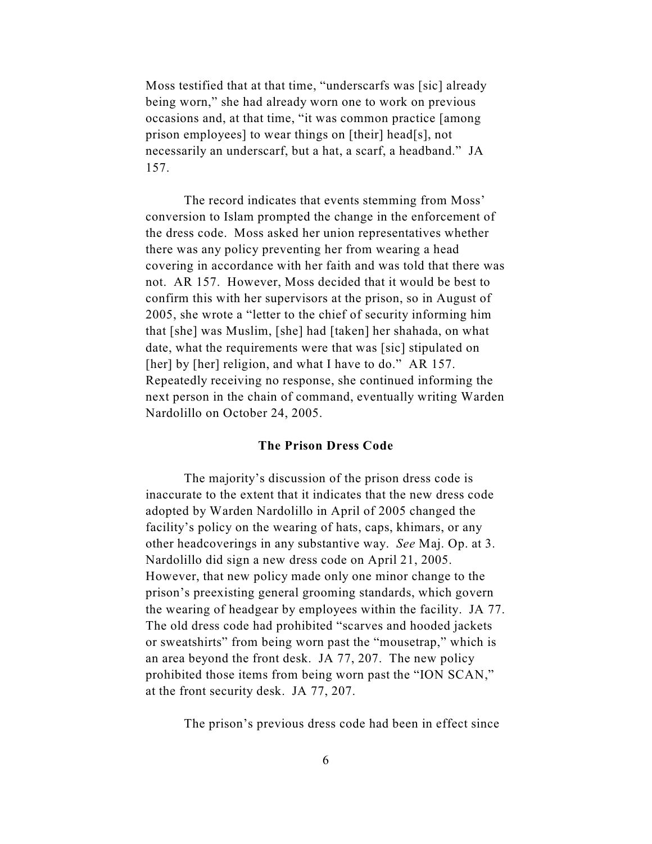Moss testified that at that time, "underscarfs was [sic] already being worn," she had already worn one to work on previous occasions and, at that time, "it was common practice [among prison employees] to wear things on [their] head[s], not necessarily an underscarf, but a hat, a scarf, a headband." JA 157.

The record indicates that events stemming from Moss' conversion to Islam prompted the change in the enforcement of the dress code. Moss asked her union representatives whether there was any policy preventing her from wearing a head covering in accordance with her faith and was told that there was not. AR 157. However, Moss decided that it would be best to confirm this with her supervisors at the prison, so in August of 2005, she wrote a "letter to the chief of security informing him that [she] was Muslim, [she] had [taken] her shahada, on what date, what the requirements were that was [sic] stipulated on [her] by [her] religion, and what I have to do." AR 157. Repeatedly receiving no response, she continued informing the next person in the chain of command, eventually writing Warden Nardolillo on October 24, 2005.

## **The Prison Dress Code**

The majority's discussion of the prison dress code is inaccurate to the extent that it indicates that the new dress code adopted by Warden Nardolillo in April of 2005 changed the facility's policy on the wearing of hats, caps, khimars, or any other headcoverings in any substantive way. *See* Maj. Op. at 3. Nardolillo did sign a new dress code on April 21, 2005. However, that new policy made only one minor change to the prison's preexisting general grooming standards, which govern the wearing of headgear by employees within the facility. JA 77. The old dress code had prohibited "scarves and hooded jackets or sweatshirts" from being worn past the "mousetrap," which is an area beyond the front desk. JA 77, 207. The new policy prohibited those items from being worn past the "ION SCAN," at the front security desk. JA 77, 207.

The prison's previous dress code had been in effect since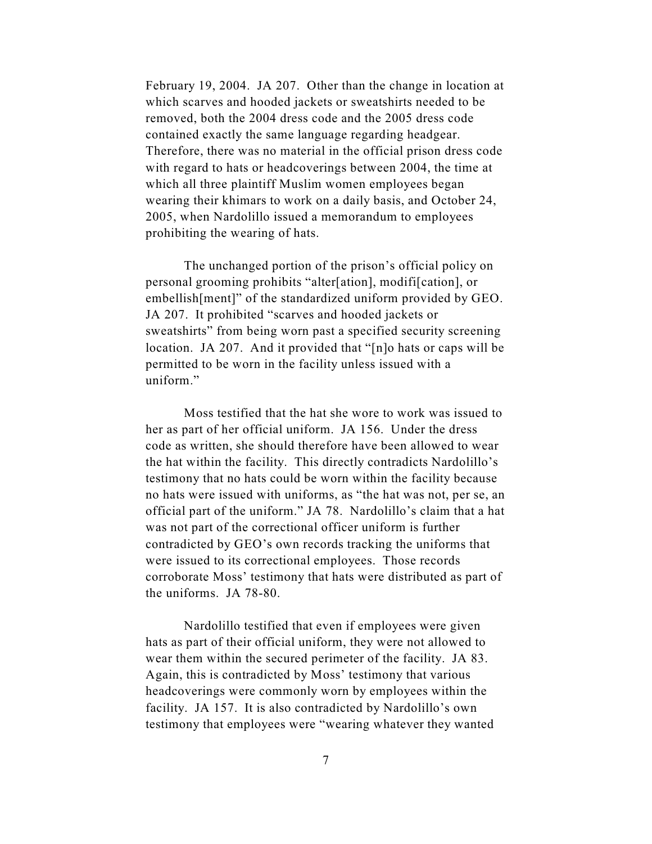February 19, 2004. JA 207. Other than the change in location at which scarves and hooded jackets or sweatshirts needed to be removed, both the 2004 dress code and the 2005 dress code contained exactly the same language regarding headgear. Therefore, there was no material in the official prison dress code with regard to hats or headcoverings between 2004, the time at which all three plaintiff Muslim women employees began wearing their khimars to work on a daily basis, and October 24, 2005, when Nardolillo issued a memorandum to employees prohibiting the wearing of hats.

The unchanged portion of the prison's official policy on personal grooming prohibits "alter[ation], modifi[cation], or embellish[ment]" of the standardized uniform provided by GEO. JA 207. It prohibited "scarves and hooded jackets or sweatshirts" from being worn past a specified security screening location. JA 207. And it provided that "[n]o hats or caps will be permitted to be worn in the facility unless issued with a uniform."

Moss testified that the hat she wore to work was issued to her as part of her official uniform. JA 156. Under the dress code as written, she should therefore have been allowed to wear the hat within the facility. This directly contradicts Nardolillo's testimony that no hats could be worn within the facility because no hats were issued with uniforms, as "the hat was not, per se, an official part of the uniform." JA 78. Nardolillo's claim that a hat was not part of the correctional officer uniform is further contradicted by GEO's own records tracking the uniforms that were issued to its correctional employees. Those records corroborate Moss' testimony that hats were distributed as part of the uniforms. JA 78-80.

Nardolillo testified that even if employees were given hats as part of their official uniform, they were not allowed to wear them within the secured perimeter of the facility. JA 83. Again, this is contradicted by Moss' testimony that various headcoverings were commonly worn by employees within the facility. JA 157. It is also contradicted by Nardolillo's own testimony that employees were "wearing whatever they wanted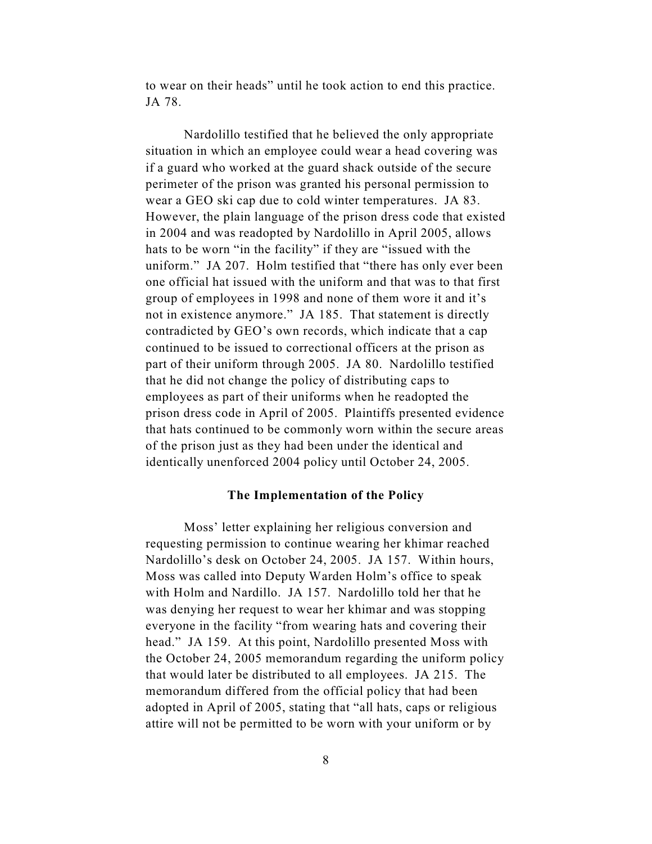to wear on their heads" until he took action to end this practice. JA 78.

Nardolillo testified that he believed the only appropriate situation in which an employee could wear a head covering was if a guard who worked at the guard shack outside of the secure perimeter of the prison was granted his personal permission to wear a GEO ski cap due to cold winter temperatures. JA 83. However, the plain language of the prison dress code that existed in 2004 and was readopted by Nardolillo in April 2005, allows hats to be worn "in the facility" if they are "issued with the uniform." JA 207. Holm testified that "there has only ever been one official hat issued with the uniform and that was to that first group of employees in 1998 and none of them wore it and it's not in existence anymore." JA 185. That statement is directly contradicted by GEO's own records, which indicate that a cap continued to be issued to correctional officers at the prison as part of their uniform through 2005. JA 80. Nardolillo testified that he did not change the policy of distributing caps to employees as part of their uniforms when he readopted the prison dress code in April of 2005. Plaintiffs presented evidence that hats continued to be commonly worn within the secure areas of the prison just as they had been under the identical and identically unenforced 2004 policy until October 24, 2005.

#### **The Implementation of the Policy**

Moss' letter explaining her religious conversion and requesting permission to continue wearing her khimar reached Nardolillo's desk on October 24, 2005. JA 157. Within hours, Moss was called into Deputy Warden Holm's office to speak with Holm and Nardillo. JA 157. Nardolillo told her that he was denying her request to wear her khimar and was stopping everyone in the facility "from wearing hats and covering their head." JA 159. At this point, Nardolillo presented Moss with the October 24, 2005 memorandum regarding the uniform policy that would later be distributed to all employees. JA 215. The memorandum differed from the official policy that had been adopted in April of 2005, stating that "all hats, caps or religious attire will not be permitted to be worn with your uniform or by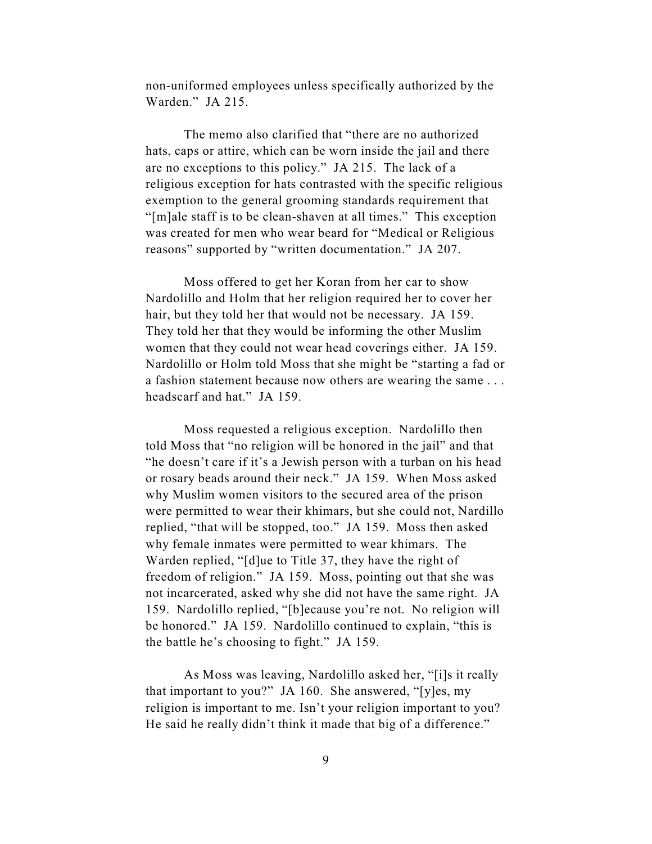non-uniformed employees unless specifically authorized by the Warden." JA 215.

The memo also clarified that "there are no authorized hats, caps or attire, which can be worn inside the jail and there are no exceptions to this policy." JA 215. The lack of a religious exception for hats contrasted with the specific religious exemption to the general grooming standards requirement that "[m]ale staff is to be clean-shaven at all times." This exception was created for men who wear beard for "Medical or Religious reasons" supported by "written documentation." JA 207.

Moss offered to get her Koran from her car to show Nardolillo and Holm that her religion required her to cover her hair, but they told her that would not be necessary. JA 159. They told her that they would be informing the other Muslim women that they could not wear head coverings either. JA 159. Nardolillo or Holm told Moss that she might be "starting a fad or a fashion statement because now others are wearing the same . . . headscarf and hat." JA 159.

Moss requested a religious exception. Nardolillo then told Moss that "no religion will be honored in the jail" and that "he doesn't care if it's a Jewish person with a turban on his head or rosary beads around their neck." JA 159. When Moss asked why Muslim women visitors to the secured area of the prison were permitted to wear their khimars, but she could not, Nardillo replied, "that will be stopped, too." JA 159. Moss then asked why female inmates were permitted to wear khimars. The Warden replied, "[d]ue to Title 37, they have the right of freedom of religion." JA 159. Moss, pointing out that she was not incarcerated, asked why she did not have the same right. JA 159. Nardolillo replied, "[b]ecause you're not. No religion will be honored." JA 159. Nardolillo continued to explain, "this is the battle he's choosing to fight." JA 159.

As Moss was leaving, Nardolillo asked her, "[i]s it really that important to you?" JA 160. She answered, "[y]es, my religion is important to me. Isn't your religion important to you? He said he really didn't think it made that big of a difference."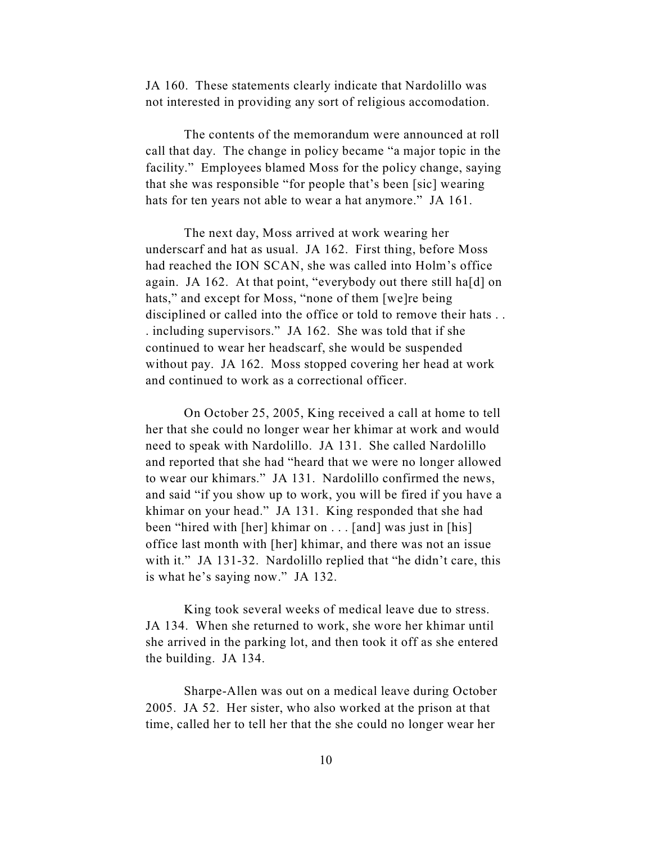JA 160. These statements clearly indicate that Nardolillo was not interested in providing any sort of religious accomodation.

The contents of the memorandum were announced at roll call that day. The change in policy became "a major topic in the facility." Employees blamed Moss for the policy change, saying that she was responsible "for people that's been [sic] wearing hats for ten years not able to wear a hat anymore." JA 161.

The next day, Moss arrived at work wearing her underscarf and hat as usual. JA 162. First thing, before Moss had reached the ION SCAN, she was called into Holm's office again. JA 162. At that point, "everybody out there still ha[d] on hats," and except for Moss, "none of them [we]re being disciplined or called into the office or told to remove their hats . . . including supervisors." JA 162. She was told that if she continued to wear her headscarf, she would be suspended without pay. JA 162. Moss stopped covering her head at work and continued to work as a correctional officer.

On October 25, 2005, King received a call at home to tell her that she could no longer wear her khimar at work and would need to speak with Nardolillo. JA 131. She called Nardolillo and reported that she had "heard that we were no longer allowed to wear our khimars." JA 131. Nardolillo confirmed the news, and said "if you show up to work, you will be fired if you have a khimar on your head." JA 131. King responded that she had been "hired with [her] khimar on . . . [and] was just in [his] office last month with [her] khimar, and there was not an issue with it." JA 131-32. Nardolillo replied that "he didn't care, this is what he's saying now." JA 132.

King took several weeks of medical leave due to stress. JA 134. When she returned to work, she wore her khimar until she arrived in the parking lot, and then took it off as she entered the building. JA 134.

Sharpe-Allen was out on a medical leave during October 2005. JA 52. Her sister, who also worked at the prison at that time, called her to tell her that the she could no longer wear her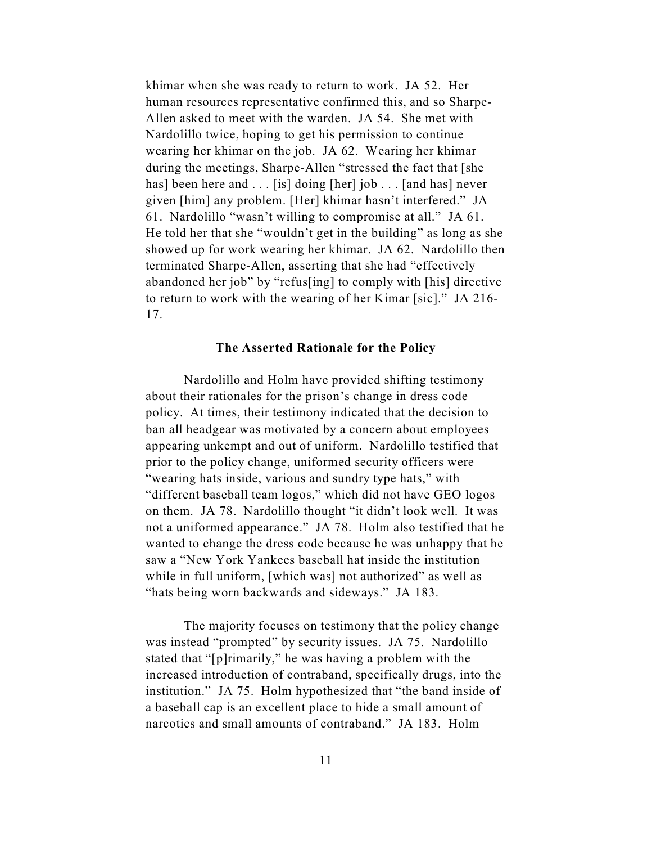khimar when she was ready to return to work. JA 52. Her human resources representative confirmed this, and so Sharpe-Allen asked to meet with the warden. JA 54. She met with Nardolillo twice, hoping to get his permission to continue wearing her khimar on the job. JA 62. Wearing her khimar during the meetings, Sharpe-Allen "stressed the fact that [she has] been here and . . . [is] doing [her] job . . . [and has] never given [him] any problem. [Her] khimar hasn't interfered." JA 61. Nardolillo "wasn't willing to compromise at all." JA 61. He told her that she "wouldn't get in the building" as long as she showed up for work wearing her khimar. JA 62. Nardolillo then terminated Sharpe-Allen, asserting that she had "effectively abandoned her job" by "refus[ing] to comply with [his] directive to return to work with the wearing of her Kimar [sic]." JA 216- 17.

## **The Asserted Rationale for the Policy**

Nardolillo and Holm have provided shifting testimony about their rationales for the prison's change in dress code policy. At times, their testimony indicated that the decision to ban all headgear was motivated by a concern about employees appearing unkempt and out of uniform. Nardolillo testified that prior to the policy change, uniformed security officers were "wearing hats inside, various and sundry type hats," with "different baseball team logos," which did not have GEO logos on them. JA 78. Nardolillo thought "it didn't look well. It was not a uniformed appearance." JA 78. Holm also testified that he wanted to change the dress code because he was unhappy that he saw a "New York Yankees baseball hat inside the institution while in full uniform, [which was] not authorized" as well as "hats being worn backwards and sideways." JA 183.

The majority focuses on testimony that the policy change was instead "prompted" by security issues. JA 75. Nardolillo stated that "[p]rimarily," he was having a problem with the increased introduction of contraband, specifically drugs, into the institution." JA 75. Holm hypothesized that "the band inside of a baseball cap is an excellent place to hide a small amount of narcotics and small amounts of contraband." JA 183. Holm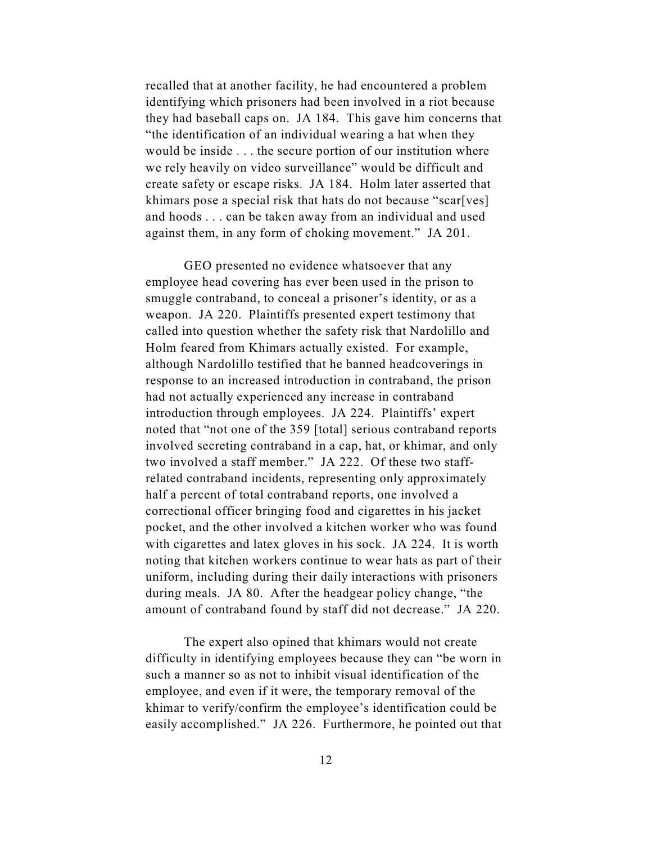recalled that at another facility, he had encountered a problem identifying which prisoners had been involved in a riot because they had baseball caps on. JA 184. This gave him concerns that "the identification of an individual wearing a hat when they would be inside . . . the secure portion of our institution where we rely heavily on video surveillance" would be difficult and create safety or escape risks. JA 184. Holm later asserted that khimars pose a special risk that hats do not because "scar[ves] and hoods . . . can be taken away from an individual and used against them, in any form of choking movement." JA 201.

GEO presented no evidence whatsoever that any employee head covering has ever been used in the prison to smuggle contraband, to conceal a prisoner's identity, or as a weapon. JA 220. Plaintiffs presented expert testimony that called into question whether the safety risk that Nardolillo and Holm feared from Khimars actually existed. For example, although Nardolillo testified that he banned headcoverings in response to an increased introduction in contraband, the prison had not actually experienced any increase in contraband introduction through employees. JA 224. Plaintiffs' expert noted that "not one of the 359 [total] serious contraband reports involved secreting contraband in a cap, hat, or khimar, and only two involved a staff member." JA 222. Of these two staffrelated contraband incidents, representing only approximately half a percent of total contraband reports, one involved a correctional officer bringing food and cigarettes in his jacket pocket, and the other involved a kitchen worker who was found with cigarettes and latex gloves in his sock. JA 224. It is worth noting that kitchen workers continue to wear hats as part of their uniform, including during their daily interactions with prisoners during meals. JA 80. After the headgear policy change, "the amount of contraband found by staff did not decrease." JA 220.

The expert also opined that khimars would not create difficulty in identifying employees because they can "be worn in such a manner so as not to inhibit visual identification of the employee, and even if it were, the temporary removal of the khimar to verify/confirm the employee's identification could be easily accomplished." JA 226. Furthermore, he pointed out that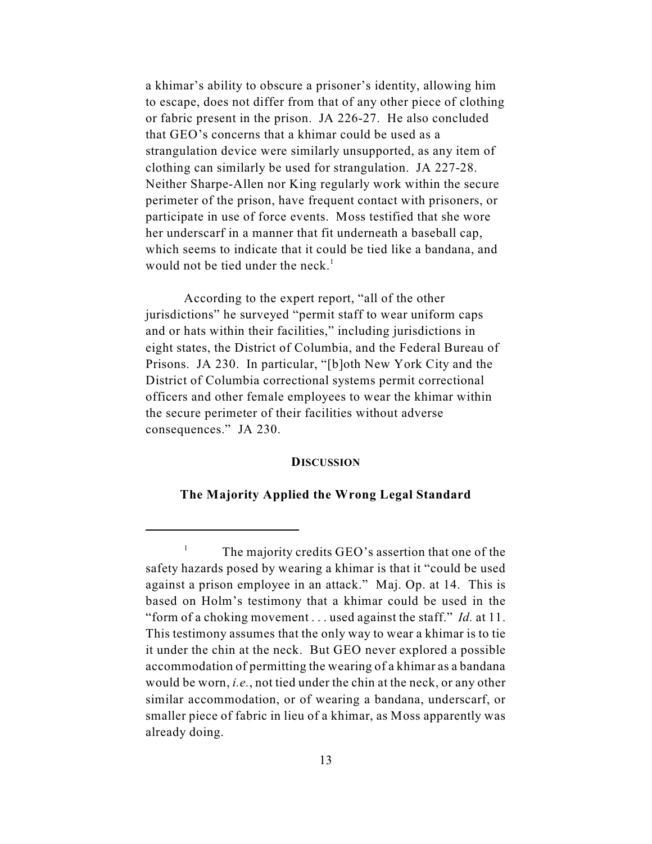a khimar's ability to obscure a prisoner's identity, allowing him to escape, does not differ from that of any other piece of clothing or fabric present in the prison. JA 226-27. He also concluded that GEO's concerns that a khimar could be used as a strangulation device were similarly unsupported, as any item of clothing can similarly be used for strangulation. JA 227-28. Neither Sharpe-Allen nor King regularly work within the secure perimeter of the prison, have frequent contact with prisoners, or participate in use of force events. Moss testified that she wore her underscarf in a manner that fit underneath a baseball cap, which seems to indicate that it could be tied like a bandana, and would not be tied under the neck. $<sup>1</sup>$ </sup>

According to the expert report, "all of the other jurisdictions" he surveyed "permit staff to wear uniform caps and or hats within their facilities," including jurisdictions in eight states, the District of Columbia, and the Federal Bureau of Prisons. JA 230. In particular, "[b]oth New York City and the District of Columbia correctional systems permit correctional officers and other female employees to wear the khimar within the secure perimeter of their facilities without adverse consequences." JA 230.

## **DISCUSSION**

## **The Majority Applied the Wrong Legal Standard**

 $\frac{1}{1}$  The majority credits GEO's assertion that one of the safety hazards posed by wearing a khimar is that it "could be used against a prison employee in an attack." Maj. Op. at 14. This is based on Holm's testimony that a khimar could be used in the "form of a choking movement . . . used against the staff." *Id.* at 11. This testimony assumes that the only way to wear a khimar is to tie it under the chin at the neck. But GEO never explored a possible accommodation of permitting the wearing of a khimar as a bandana would be worn, *i.e.*, not tied under the chin at the neck, or any other similar accommodation, or of wearing a bandana, underscarf, or smaller piece of fabric in lieu of a khimar, as Moss apparently was already doing.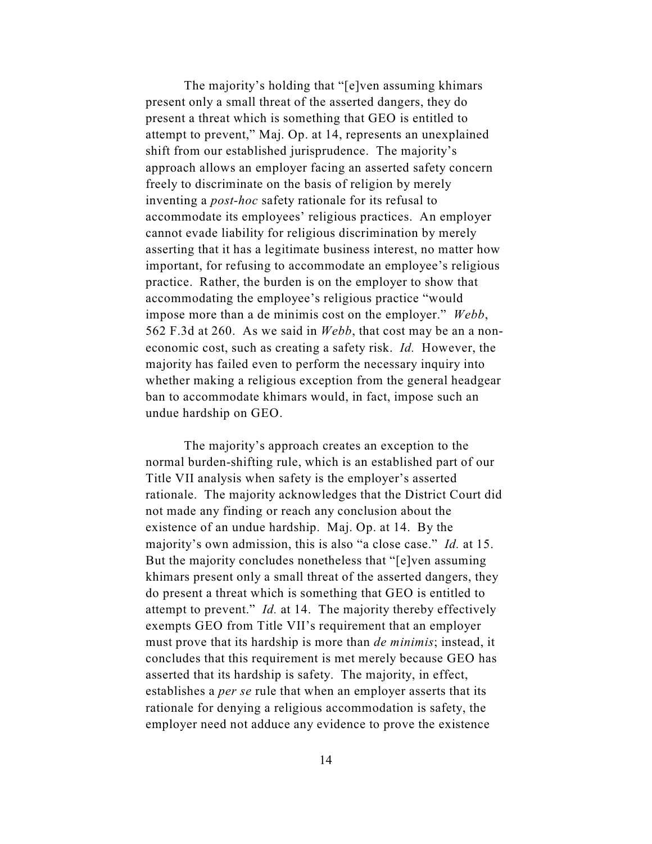The majority's holding that "[e]ven assuming khimars present only a small threat of the asserted dangers, they do present a threat which is something that GEO is entitled to attempt to prevent," Maj. Op. at 14, represents an unexplained shift from our established jurisprudence. The majority's approach allows an employer facing an asserted safety concern freely to discriminate on the basis of religion by merely inventing a *post-hoc* safety rationale for its refusal to accommodate its employees' religious practices. An employer cannot evade liability for religious discrimination by merely asserting that it has a legitimate business interest, no matter how important, for refusing to accommodate an employee's religious practice. Rather, the burden is on the employer to show that accommodating the employee's religious practice "would impose more than a de minimis cost on the employer." *Webb*, 562 F.3d at 260. As we said in *Webb*, that cost may be an a noneconomic cost, such as creating a safety risk. *Id.* However, the majority has failed even to perform the necessary inquiry into whether making a religious exception from the general headgear ban to accommodate khimars would, in fact, impose such an undue hardship on GEO.

The majority's approach creates an exception to the normal burden-shifting rule, which is an established part of our Title VII analysis when safety is the employer's asserted rationale. The majority acknowledges that the District Court did not made any finding or reach any conclusion about the existence of an undue hardship. Maj. Op. at 14. By the majority's own admission, this is also "a close case." *Id.* at 15. But the majority concludes nonetheless that "[e]ven assuming khimars present only a small threat of the asserted dangers, they do present a threat which is something that GEO is entitled to attempt to prevent." *Id.* at 14. The majority thereby effectively exempts GEO from Title VII's requirement that an employer must prove that its hardship is more than *de minimis*; instead, it concludes that this requirement is met merely because GEO has asserted that its hardship is safety. The majority, in effect, establishes a *per se* rule that when an employer asserts that its rationale for denying a religious accommodation is safety, the employer need not adduce any evidence to prove the existence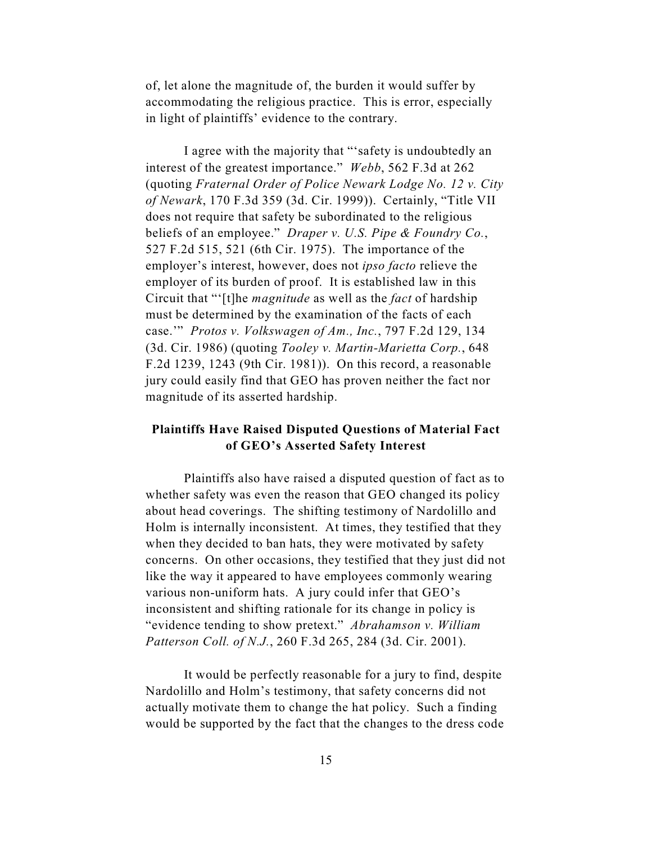of, let alone the magnitude of, the burden it would suffer by accommodating the religious practice. This is error, especially in light of plaintiffs' evidence to the contrary.

I agree with the majority that "'safety is undoubtedly an interest of the greatest importance." *Webb*, 562 F.3d at 262 (quoting *Fraternal Order of Police Newark Lodge No. 12 v. City of Newark*, 170 F.3d 359 (3d. Cir. 1999)). Certainly, "Title VII does not require that safety be subordinated to the religious beliefs of an employee." *Draper v. U.S. Pipe & Foundry Co.*, 527 F.2d 515, 521 (6th Cir. 1975). The importance of the employer's interest, however, does not *ipso facto* relieve the employer of its burden of proof. It is established law in this Circuit that "'[t]he *magnitude* as well as the *fact* of hardship must be determined by the examination of the facts of each case.'" *Protos v. Volkswagen of Am., Inc.*, 797 F.2d 129, 134 (3d. Cir. 1986) (quoting *Tooley v. Martin-Marietta Corp.*, 648 F.2d 1239, 1243 (9th Cir. 1981)). On this record, a reasonable jury could easily find that GEO has proven neither the fact nor magnitude of its asserted hardship.

# **Plaintiffs Have Raised Disputed Questions of Material Fact of GEO's Asserted Safety Interest**

Plaintiffs also have raised a disputed question of fact as to whether safety was even the reason that GEO changed its policy about head coverings. The shifting testimony of Nardolillo and Holm is internally inconsistent. At times, they testified that they when they decided to ban hats, they were motivated by safety concerns. On other occasions, they testified that they just did not like the way it appeared to have employees commonly wearing various non-uniform hats. A jury could infer that GEO's inconsistent and shifting rationale for its change in policy is "evidence tending to show pretext." *Abrahamson v. William Patterson Coll. of N.J.*, 260 F.3d 265, 284 (3d. Cir. 2001).

It would be perfectly reasonable for a jury to find, despite Nardolillo and Holm's testimony, that safety concerns did not actually motivate them to change the hat policy. Such a finding would be supported by the fact that the changes to the dress code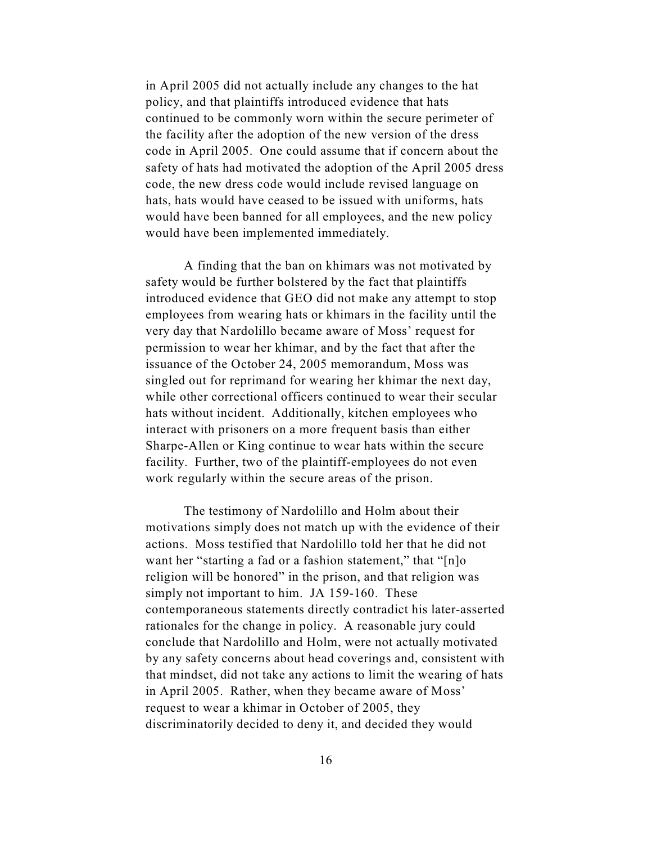in April 2005 did not actually include any changes to the hat policy, and that plaintiffs introduced evidence that hats continued to be commonly worn within the secure perimeter of the facility after the adoption of the new version of the dress code in April 2005. One could assume that if concern about the safety of hats had motivated the adoption of the April 2005 dress code, the new dress code would include revised language on hats, hats would have ceased to be issued with uniforms, hats would have been banned for all employees, and the new policy would have been implemented immediately.

A finding that the ban on khimars was not motivated by safety would be further bolstered by the fact that plaintiffs introduced evidence that GEO did not make any attempt to stop employees from wearing hats or khimars in the facility until the very day that Nardolillo became aware of Moss' request for permission to wear her khimar, and by the fact that after the issuance of the October 24, 2005 memorandum, Moss was singled out for reprimand for wearing her khimar the next day, while other correctional officers continued to wear their secular hats without incident. Additionally, kitchen employees who interact with prisoners on a more frequent basis than either Sharpe-Allen or King continue to wear hats within the secure facility. Further, two of the plaintiff-employees do not even work regularly within the secure areas of the prison.

The testimony of Nardolillo and Holm about their motivations simply does not match up with the evidence of their actions. Moss testified that Nardolillo told her that he did not want her "starting a fad or a fashion statement," that "[n]o religion will be honored" in the prison, and that religion was simply not important to him. JA 159-160. These contemporaneous statements directly contradict his later-asserted rationales for the change in policy. A reasonable jury could conclude that Nardolillo and Holm, were not actually motivated by any safety concerns about head coverings and, consistent with that mindset, did not take any actions to limit the wearing of hats in April 2005. Rather, when they became aware of Moss' request to wear a khimar in October of 2005, they discriminatorily decided to deny it, and decided they would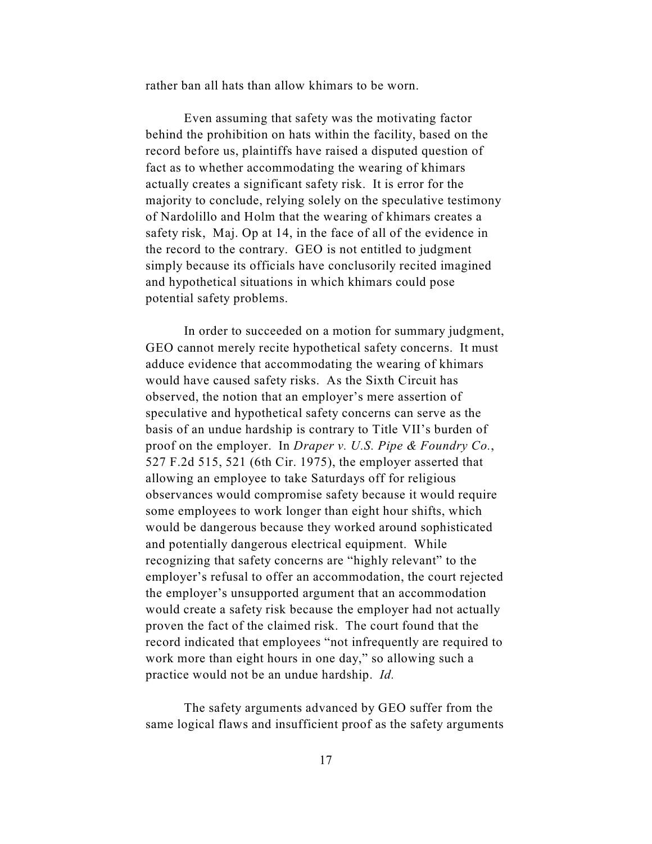rather ban all hats than allow khimars to be worn.

Even assuming that safety was the motivating factor behind the prohibition on hats within the facility, based on the record before us, plaintiffs have raised a disputed question of fact as to whether accommodating the wearing of khimars actually creates a significant safety risk. It is error for the majority to conclude, relying solely on the speculative testimony of Nardolillo and Holm that the wearing of khimars creates a safety risk, Maj. Op at 14, in the face of all of the evidence in the record to the contrary. GEO is not entitled to judgment simply because its officials have conclusorily recited imagined and hypothetical situations in which khimars could pose potential safety problems.

In order to succeeded on a motion for summary judgment, GEO cannot merely recite hypothetical safety concerns. It must adduce evidence that accommodating the wearing of khimars would have caused safety risks. As the Sixth Circuit has observed, the notion that an employer's mere assertion of speculative and hypothetical safety concerns can serve as the basis of an undue hardship is contrary to Title VII's burden of proof on the employer. In *Draper v. U.S. Pipe & Foundry Co.*, 527 F.2d 515, 521 (6th Cir. 1975), the employer asserted that allowing an employee to take Saturdays off for religious observances would compromise safety because it would require some employees to work longer than eight hour shifts, which would be dangerous because they worked around sophisticated and potentially dangerous electrical equipment. While recognizing that safety concerns are "highly relevant" to the employer's refusal to offer an accommodation, the court rejected the employer's unsupported argument that an accommodation would create a safety risk because the employer had not actually proven the fact of the claimed risk. The court found that the record indicated that employees "not infrequently are required to work more than eight hours in one day," so allowing such a practice would not be an undue hardship. *Id.*

The safety arguments advanced by GEO suffer from the same logical flaws and insufficient proof as the safety arguments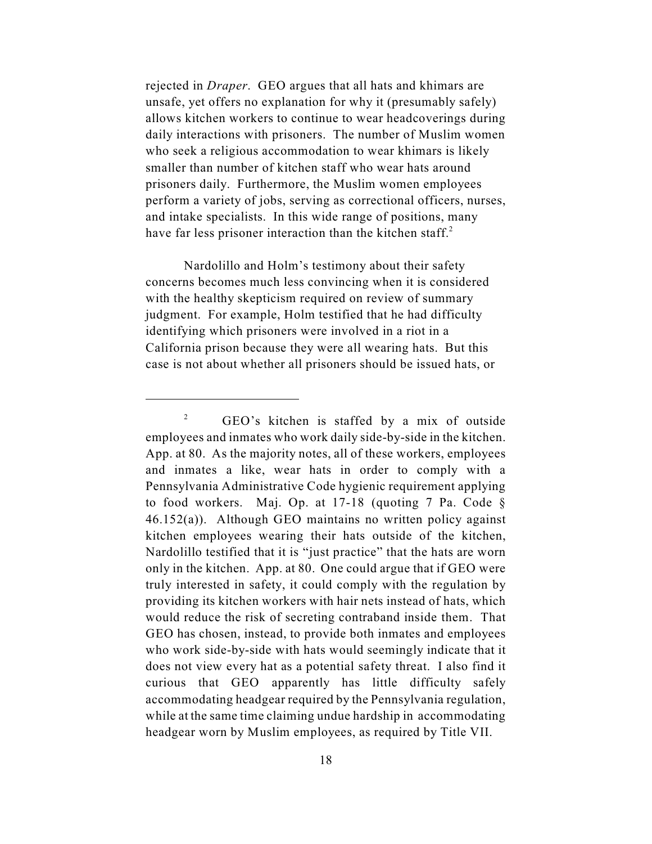rejected in *Draper*. GEO argues that all hats and khimars are unsafe, yet offers no explanation for why it (presumably safely) allows kitchen workers to continue to wear headcoverings during daily interactions with prisoners. The number of Muslim women who seek a religious accommodation to wear khimars is likely smaller than number of kitchen staff who wear hats around prisoners daily. Furthermore, the Muslim women employees perform a variety of jobs, serving as correctional officers, nurses, and intake specialists. In this wide range of positions, many have far less prisoner interaction than the kitchen staff.<sup>2</sup>

Nardolillo and Holm's testimony about their safety concerns becomes much less convincing when it is considered with the healthy skepticism required on review of summary judgment. For example, Holm testified that he had difficulty identifying which prisoners were involved in a riot in a California prison because they were all wearing hats. But this case is not about whether all prisoners should be issued hats, or

 $\degree$  GEO's kitchen is staffed by a mix of outside employees and inmates who work daily side-by-side in the kitchen. App. at 80. As the majority notes, all of these workers, employees and inmates a like, wear hats in order to comply with a Pennsylvania Administrative Code hygienic requirement applying to food workers. Maj. Op. at 17-18 (quoting 7 Pa. Code § 46.152(a)). Although GEO maintains no written policy against kitchen employees wearing their hats outside of the kitchen, Nardolillo testified that it is "just practice" that the hats are worn only in the kitchen. App. at 80. One could argue that if GEO were truly interested in safety, it could comply with the regulation by providing its kitchen workers with hair nets instead of hats, which would reduce the risk of secreting contraband inside them. That GEO has chosen, instead, to provide both inmates and employees who work side-by-side with hats would seemingly indicate that it does not view every hat as a potential safety threat. I also find it curious that GEO apparently has little difficulty safely accommodating headgear required by the Pennsylvania regulation, while at the same time claiming undue hardship in accommodating headgear worn by Muslim employees, as required by Title VII.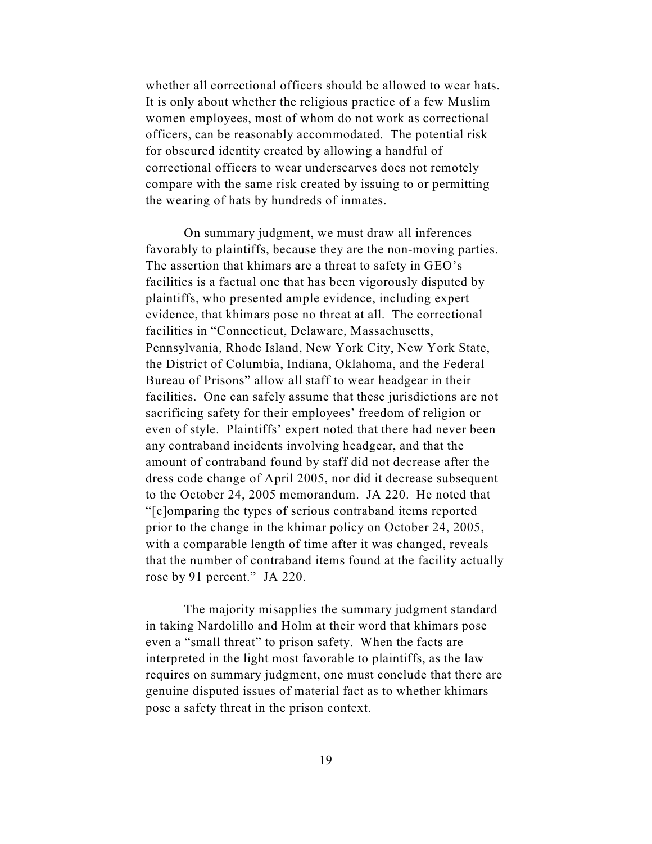whether all correctional officers should be allowed to wear hats. It is only about whether the religious practice of a few Muslim women employees, most of whom do not work as correctional officers, can be reasonably accommodated. The potential risk for obscured identity created by allowing a handful of correctional officers to wear underscarves does not remotely compare with the same risk created by issuing to or permitting the wearing of hats by hundreds of inmates.

On summary judgment, we must draw all inferences favorably to plaintiffs, because they are the non-moving parties. The assertion that khimars are a threat to safety in GEO's facilities is a factual one that has been vigorously disputed by plaintiffs, who presented ample evidence, including expert evidence, that khimars pose no threat at all. The correctional facilities in "Connecticut, Delaware, Massachusetts, Pennsylvania, Rhode Island, New York City, New York State, the District of Columbia, Indiana, Oklahoma, and the Federal Bureau of Prisons" allow all staff to wear headgear in their facilities. One can safely assume that these jurisdictions are not sacrificing safety for their employees' freedom of religion or even of style. Plaintiffs' expert noted that there had never been any contraband incidents involving headgear, and that the amount of contraband found by staff did not decrease after the dress code change of April 2005, nor did it decrease subsequent to the October 24, 2005 memorandum. JA 220. He noted that "[c]omparing the types of serious contraband items reported prior to the change in the khimar policy on October 24, 2005, with a comparable length of time after it was changed, reveals that the number of contraband items found at the facility actually rose by 91 percent." JA 220.

The majority misapplies the summary judgment standard in taking Nardolillo and Holm at their word that khimars pose even a "small threat" to prison safety. When the facts are interpreted in the light most favorable to plaintiffs, as the law requires on summary judgment, one must conclude that there are genuine disputed issues of material fact as to whether khimars pose a safety threat in the prison context.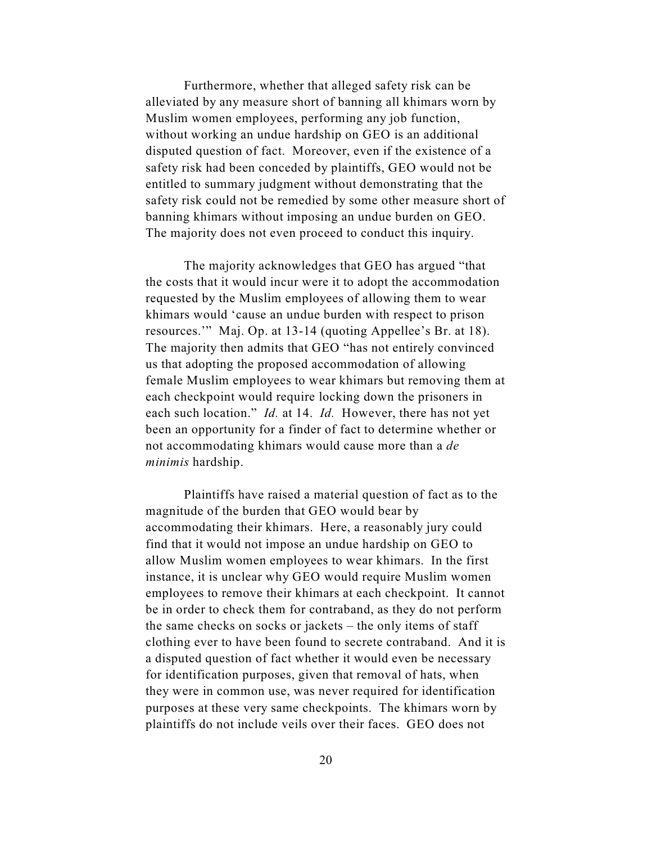Furthermore, whether that alleged safety risk can be alleviated by any measure short of banning all khimars worn by Muslim women employees, performing any job function, without working an undue hardship on GEO is an additional disputed question of fact. Moreover, even if the existence of a safety risk had been conceded by plaintiffs, GEO would not be entitled to summary judgment without demonstrating that the safety risk could not be remedied by some other measure short of banning khimars without imposing an undue burden on GEO. The majority does not even proceed to conduct this inquiry.

The majority acknowledges that GEO has argued "that the costs that it would incur were it to adopt the accommodation requested by the Muslim employees of allowing them to wear khimars would 'cause an undue burden with respect to prison resources.'" Maj. Op. at 13-14 (quoting Appellee's Br. at 18). The majority then admits that GEO "has not entirely convinced us that adopting the proposed accommodation of allowing female Muslim employees to wear khimars but removing them at each checkpoint would require locking down the prisoners in each such location." *Id.* at 14. *Id.* However, there has not yet been an opportunity for a finder of fact to determine whether or not accommodating khimars would cause more than a *de minimis* hardship.

Plaintiffs have raised a material question of fact as to the magnitude of the burden that GEO would bear by accommodating their khimars. Here, a reasonably jury could find that it would not impose an undue hardship on GEO to allow Muslim women employees to wear khimars. In the first instance, it is unclear why GEO would require Muslim women employees to remove their khimars at each checkpoint. It cannot be in order to check them for contraband, as they do not perform the same checks on socks or jackets – the only items of staff clothing ever to have been found to secrete contraband. And it is a disputed question of fact whether it would even be necessary for identification purposes, given that removal of hats, when they were in common use, was never required for identification purposes at these very same checkpoints. The khimars worn by plaintiffs do not include veils over their faces. GEO does not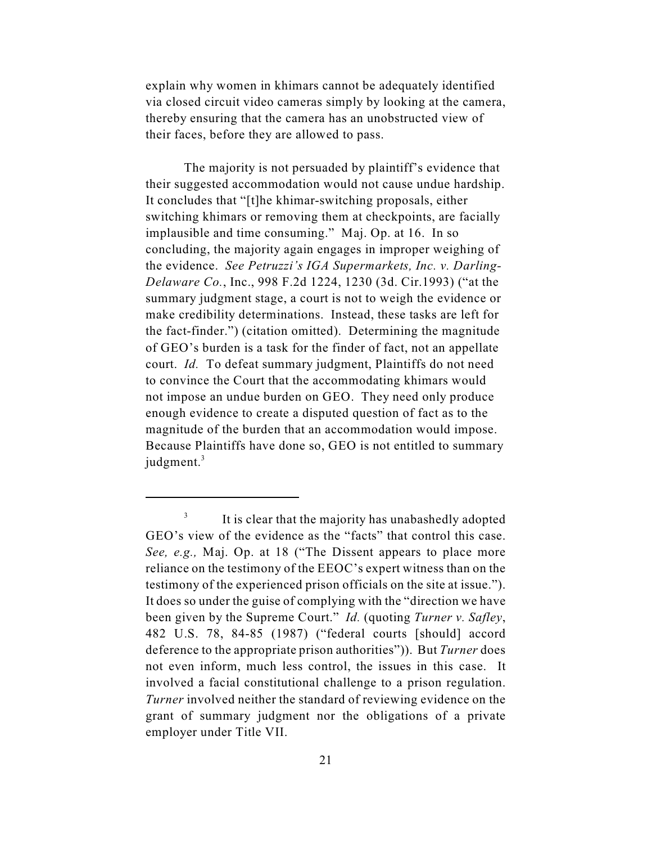explain why women in khimars cannot be adequately identified via closed circuit video cameras simply by looking at the camera, thereby ensuring that the camera has an unobstructed view of their faces, before they are allowed to pass.

The majority is not persuaded by plaintiff's evidence that their suggested accommodation would not cause undue hardship. It concludes that "[t]he khimar-switching proposals, either switching khimars or removing them at checkpoints, are facially implausible and time consuming." Maj. Op. at 16. In so concluding, the majority again engages in improper weighing of the evidence. *See Petruzzi's IGA Supermarkets, Inc. v. Darling-Delaware Co.*, Inc., 998 F.2d 1224, 1230 (3d. Cir.1993) ("at the summary judgment stage, a court is not to weigh the evidence or make credibility determinations. Instead, these tasks are left for the fact-finder.") (citation omitted). Determining the magnitude of GEO's burden is a task for the finder of fact, not an appellate court. *Id.* To defeat summary judgment, Plaintiffs do not need to convince the Court that the accommodating khimars would not impose an undue burden on GEO. They need only produce enough evidence to create a disputed question of fact as to the magnitude of the burden that an accommodation would impose. Because Plaintiffs have done so, GEO is not entitled to summary judgment.<sup>3</sup>

<sup>&</sup>lt;sup>3</sup> It is clear that the majority has unabashedly adopted GEO's view of the evidence as the "facts" that control this case. *See, e.g.,* Maj. Op. at 18 ("The Dissent appears to place more reliance on the testimony of the EEOC's expert witness than on the testimony of the experienced prison officials on the site at issue."). It does so under the guise of complying with the "direction we have been given by the Supreme Court." *Id.* (quoting *Turner v. Safley*, 482 U.S. 78, 84-85 (1987) ("federal courts [should] accord deference to the appropriate prison authorities")). But *Turner* does not even inform, much less control, the issues in this case. It involved a facial constitutional challenge to a prison regulation. *Turner* involved neither the standard of reviewing evidence on the grant of summary judgment nor the obligations of a private employer under Title VII.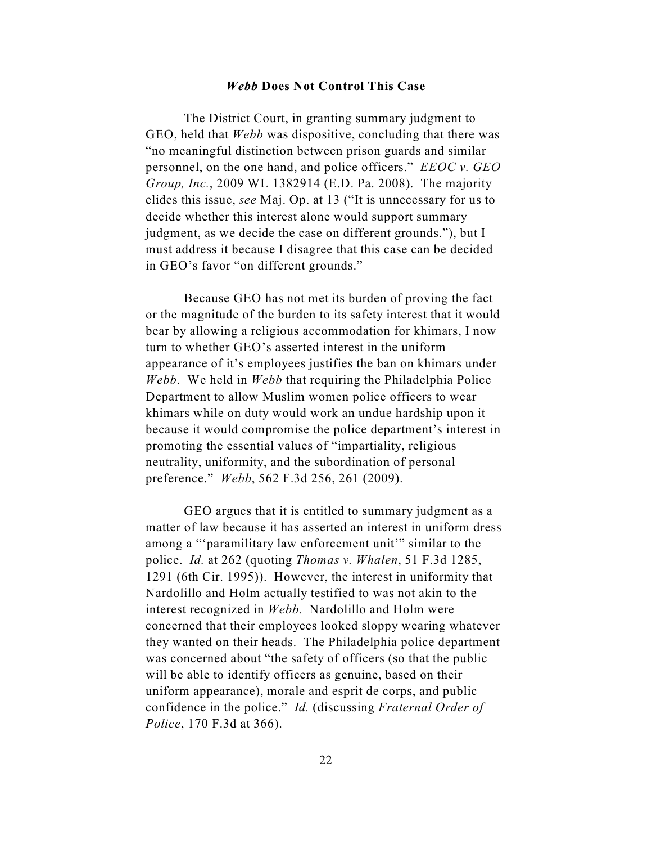### *Webb* **Does Not Control This Case**

The District Court, in granting summary judgment to GEO, held that *Webb* was dispositive, concluding that there was "no meaningful distinction between prison guards and similar personnel, on the one hand, and police officers." *EEOC v. GEO Group, Inc.*, 2009 WL 1382914 (E.D. Pa. 2008). The majority elides this issue, *see* Maj. Op. at 13 ("It is unnecessary for us to decide whether this interest alone would support summary judgment, as we decide the case on different grounds."), but I must address it because I disagree that this case can be decided in GEO's favor "on different grounds."

Because GEO has not met its burden of proving the fact or the magnitude of the burden to its safety interest that it would bear by allowing a religious accommodation for khimars, I now turn to whether GEO's asserted interest in the uniform appearance of it's employees justifies the ban on khimars under *Webb*. We held in *Webb* that requiring the Philadelphia Police Department to allow Muslim women police officers to wear khimars while on duty would work an undue hardship upon it because it would compromise the police department's interest in promoting the essential values of "impartiality, religious neutrality, uniformity, and the subordination of personal preference." *Webb*, 562 F.3d 256, 261 (2009).

GEO argues that it is entitled to summary judgment as a matter of law because it has asserted an interest in uniform dress among a "'paramilitary law enforcement unit'" similar to the police. *Id.* at 262 (quoting *Thomas v. Whalen*, 51 F.3d 1285, 1291 (6th Cir. 1995)). However, the interest in uniformity that Nardolillo and Holm actually testified to was not akin to the interest recognized in *Webb.* Nardolillo and Holm were concerned that their employees looked sloppy wearing whatever they wanted on their heads. The Philadelphia police department was concerned about "the safety of officers (so that the public will be able to identify officers as genuine, based on their uniform appearance), morale and esprit de corps, and public confidence in the police." *Id.* (discussing *Fraternal Order of Police*, 170 F.3d at 366).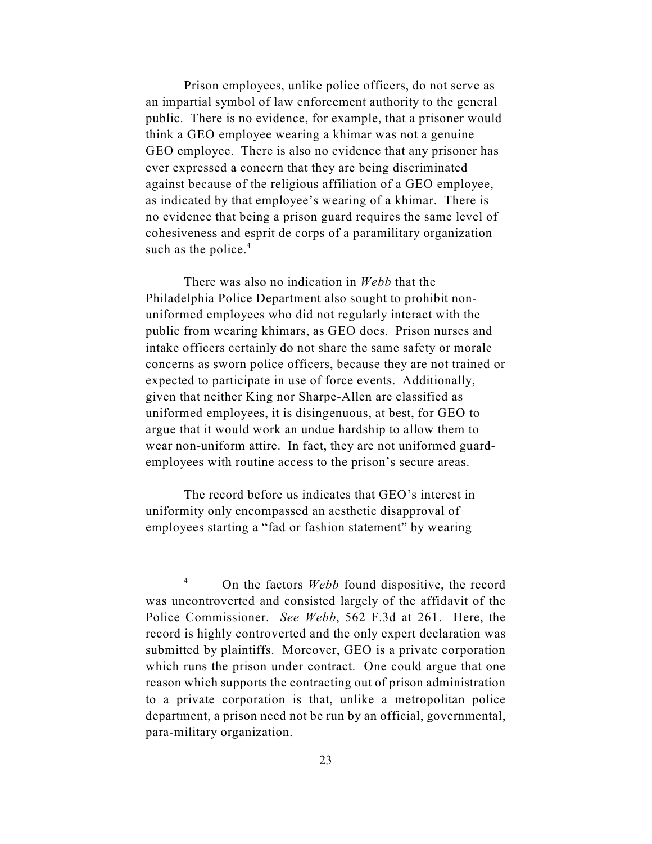Prison employees, unlike police officers, do not serve as an impartial symbol of law enforcement authority to the general public. There is no evidence, for example, that a prisoner would think a GEO employee wearing a khimar was not a genuine GEO employee. There is also no evidence that any prisoner has ever expressed a concern that they are being discriminated against because of the religious affiliation of a GEO employee, as indicated by that employee's wearing of a khimar. There is no evidence that being a prison guard requires the same level of cohesiveness and esprit de corps of a paramilitary organization such as the police. $4$ 

There was also no indication in *Webb* that the Philadelphia Police Department also sought to prohibit nonuniformed employees who did not regularly interact with the public from wearing khimars, as GEO does. Prison nurses and intake officers certainly do not share the same safety or morale concerns as sworn police officers, because they are not trained or expected to participate in use of force events. Additionally, given that neither King nor Sharpe-Allen are classified as uniformed employees, it is disingenuous, at best, for GEO to argue that it would work an undue hardship to allow them to wear non-uniform attire. In fact, they are not uniformed guardemployees with routine access to the prison's secure areas.

The record before us indicates that GEO's interest in uniformity only encompassed an aesthetic disapproval of employees starting a "fad or fashion statement" by wearing

<sup>&</sup>lt;sup>4</sup> On the factors *Webb* found dispositive, the record was uncontroverted and consisted largely of the affidavit of the Police Commissioner. *See Webb*, 562 F.3d at 261. Here, the record is highly controverted and the only expert declaration was submitted by plaintiffs. Moreover, GEO is a private corporation which runs the prison under contract. One could argue that one reason which supports the contracting out of prison administration to a private corporation is that, unlike a metropolitan police department, a prison need not be run by an official, governmental, para-military organization.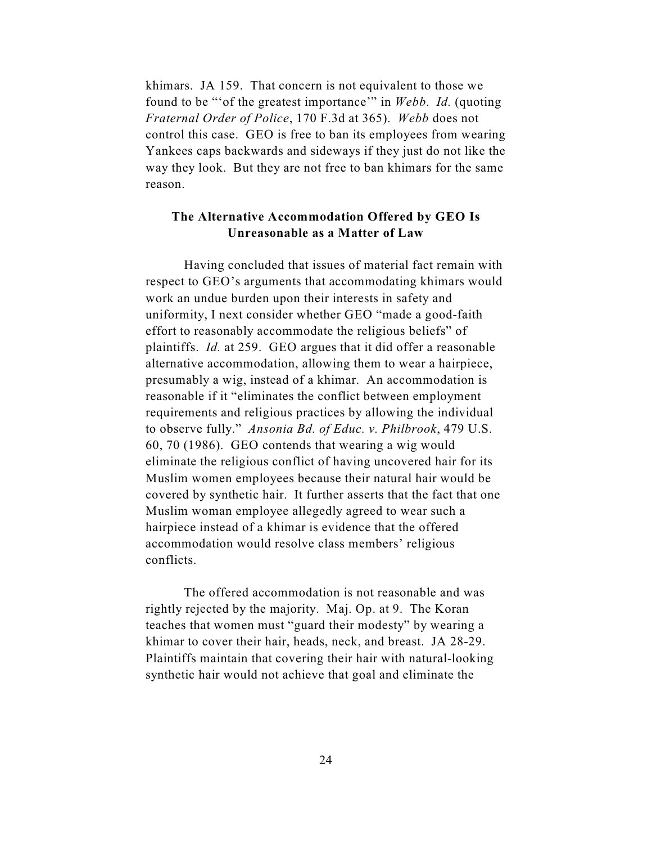khimars. JA 159. That concern is not equivalent to those we found to be "'of the greatest importance'" in *Webb*. *Id.* (quoting *Fraternal Order of Police*, 170 F.3d at 365). *Webb* does not control this case. GEO is free to ban its employees from wearing Yankees caps backwards and sideways if they just do not like the way they look. But they are not free to ban khimars for the same reason.

# **The Alternative Accommodation Offered by GEO Is Unreasonable as a Matter of Law**

Having concluded that issues of material fact remain with respect to GEO's arguments that accommodating khimars would work an undue burden upon their interests in safety and uniformity, I next consider whether GEO "made a good-faith effort to reasonably accommodate the religious beliefs" of plaintiffs. *Id.* at 259. GEO argues that it did offer a reasonable alternative accommodation, allowing them to wear a hairpiece, presumably a wig, instead of a khimar. An accommodation is reasonable if it "eliminates the conflict between employment requirements and religious practices by allowing the individual to observe fully." *Ansonia Bd. of Educ. v. Philbrook*, 479 U.S. 60, 70 (1986). GEO contends that wearing a wig would eliminate the religious conflict of having uncovered hair for its Muslim women employees because their natural hair would be covered by synthetic hair. It further asserts that the fact that one Muslim woman employee allegedly agreed to wear such a hairpiece instead of a khimar is evidence that the offered accommodation would resolve class members' religious conflicts.

The offered accommodation is not reasonable and was rightly rejected by the majority. Maj. Op. at 9. The Koran teaches that women must "guard their modesty" by wearing a khimar to cover their hair, heads, neck, and breast. JA 28-29. Plaintiffs maintain that covering their hair with natural-looking synthetic hair would not achieve that goal and eliminate the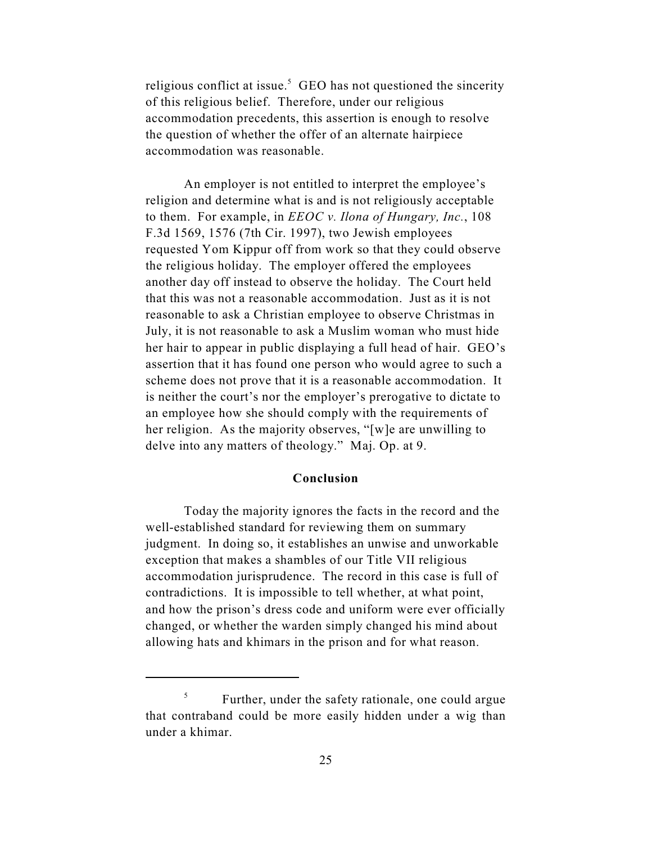religious conflict at issue.<sup>5</sup> GEO has not questioned the sincerity of this religious belief. Therefore, under our religious accommodation precedents, this assertion is enough to resolve the question of whether the offer of an alternate hairpiece accommodation was reasonable.

An employer is not entitled to interpret the employee's religion and determine what is and is not religiously acceptable to them. For example, in *EEOC v. Ilona of Hungary, Inc.*, 108 F.3d 1569, 1576 (7th Cir. 1997), two Jewish employees requested Yom Kippur off from work so that they could observe the religious holiday. The employer offered the employees another day off instead to observe the holiday. The Court held that this was not a reasonable accommodation. Just as it is not reasonable to ask a Christian employee to observe Christmas in July, it is not reasonable to ask a Muslim woman who must hide her hair to appear in public displaying a full head of hair. GEO's assertion that it has found one person who would agree to such a scheme does not prove that it is a reasonable accommodation. It is neither the court's nor the employer's prerogative to dictate to an employee how she should comply with the requirements of her religion. As the majority observes, "[w]e are unwilling to delve into any matters of theology." Maj. Op. at 9.

### **Conclusion**

Today the majority ignores the facts in the record and the well-established standard for reviewing them on summary judgment. In doing so, it establishes an unwise and unworkable exception that makes a shambles of our Title VII religious accommodation jurisprudence. The record in this case is full of contradictions. It is impossible to tell whether, at what point, and how the prison's dress code and uniform were ever officially changed, or whether the warden simply changed his mind about allowing hats and khimars in the prison and for what reason.

 $\frac{5}{5}$  Further, under the safety rationale, one could argue that contraband could be more easily hidden under a wig than under a khimar.